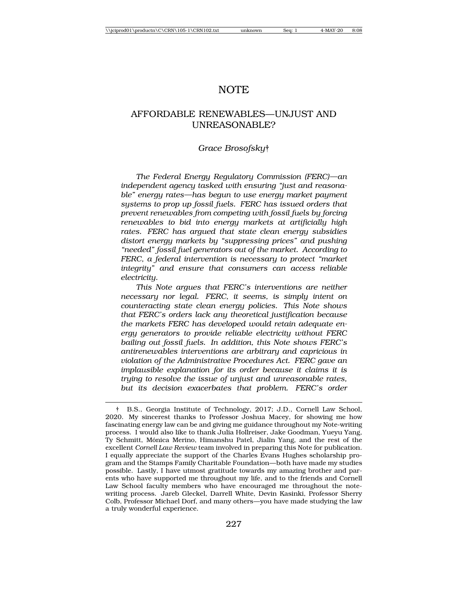# NOTE

# AFFORDABLE RENEWABLES—UNJUST AND UNREASONABLE?

#### *Grace Brosofsky*†

*The Federal Energy Regulatory Commission (FERC)—an independent agency tasked with ensuring "just and reasonable" energy rates—has begun to use energy market payment systems to prop up fossil fuels. FERC has issued orders that prevent renewables from competing with fossil fuels by forcing renewables to bid into energy markets at artificially high rates. FERC has argued that state clean energy subsidies distort energy markets by "suppressing prices" and pushing "needed" fossil fuel generators out of the market. According to FERC, a federal intervention is necessary to protect "market integrity" and ensure that consumers can access reliable electricity.*

*This Note argues that FERC's interventions are neither necessary nor legal. FERC, it seems, is simply intent on counteracting state clean energy policies. This Note shows that FERC's orders lack any theoretical justification because the markets FERC has developed would retain adequate energy generators to provide reliable electricity without FERC bailing out fossil fuels. In addition, this Note shows FERC's antirenewables interventions are arbitrary and capricious in violation of the Administrative Procedures Act. FERC gave an implausible explanation for its order because it claims it is trying to resolve the issue of unjust and unreasonable rates, but its decision exacerbates that problem. FERC's order*

<sup>†</sup> B.S., Georgia Institute of Technology, 2017; J.D., Cornell Law School, 2020. My sincerest thanks to Professor Joshua Macey, for showing me how fascinating energy law can be and giving me guidance throughout my Note-writing process. I would also like to thank Julia Hollreiser, Jake Goodman, Yueyu Yang, Ty Schmitt, Mónica Merino, Himanshu Patel, Jialin Yang, and the rest of the excellent *Cornell Law Review* team involved in preparing this Note for publication. I equally appreciate the support of the Charles Evans Hughes scholarship program and the Stamps Family Charitable Foundation—both have made my studies possible. Lastly, I have utmost gratitude towards my amazing brother and parents who have supported me throughout my life, and to the friends and Cornell Law School faculty members who have encouraged me throughout the notewriting process. Jareb Gleckel, Darrell White, Devin Kasinki, Professor Sherry Colb, Professor Michael Dorf, and many others—you have made studying the law a truly wonderful experience.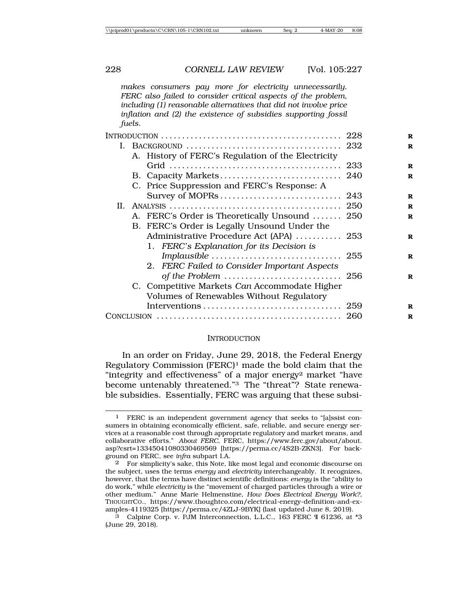*makes consumers pay more for electricity unnecessarily. FERC also failed to consider critical aspects of the problem, including (1) reasonable alternatives that did not involve price inflation and (2) the existence of subsidies supporting fossil fuels.*

|  |                                              | A. History of FERC's Regulation of the Electricity                                        |  |
|--|----------------------------------------------|-------------------------------------------------------------------------------------------|--|
|  |                                              |                                                                                           |  |
|  |                                              |                                                                                           |  |
|  |                                              | C. Price Suppression and FERC's Response: A                                               |  |
|  |                                              |                                                                                           |  |
|  |                                              |                                                                                           |  |
|  |                                              | A. FERC's Order is Theoretically Unsound  250                                             |  |
|  | B. FERC's Order is Legally Unsound Under the |                                                                                           |  |
|  |                                              | Administrative Procedure Act (APA)  253                                                   |  |
|  |                                              | 1. FERC's Explanation for its Decision is                                                 |  |
|  |                                              |                                                                                           |  |
|  |                                              | 2. FERC Failed to Consider Important Aspects                                              |  |
|  |                                              |                                                                                           |  |
|  |                                              | C. Competitive Markets Can Accommodate Higher<br>Volumes of Renewables Without Regulatory |  |
|  |                                              |                                                                                           |  |
|  |                                              |                                                                                           |  |
|  |                                              |                                                                                           |  |

#### **INTRODUCTION**

In an order on Friday, June 29, 2018, the Federal Energy Regulatory Commission (FERC)1 made the bold claim that the "integrity and effectiveness" of a major energy2 market "have become untenably threatened."3 The "threat"? State renewable subsidies. Essentially, FERC was arguing that these subsi-

<sup>1</sup> FERC is an independent government agency that seeks to "[a]ssist consumers in obtaining economically efficient, safe, reliable, and secure energy services at a reasonable cost through appropriate regulatory and market means, and collaborative efforts." *About FERC*, FERC, https://www.ferc.gov/about/about. asp?csrt=13345041080330469569 [https://perma.cc/4S2B-ZKN3]. For background on FERC, see *infra* subpart I.A.

<sup>2</sup> For simplicity's sake, this Note, like most legal and economic discourse on the subject, uses the terms *energy* and *electricity* interchangeably. It recognizes, however, that the terms have distinct scientific definitions: *energy* is the "ability to do work," while *electricity* is the "movement of charged particles through a wire or other medium." Anne Marie Helmenstine, *How Does Electrical Energy Work?*, THOUGHTCO., https://www.thoughtco.com/electrical-energy-definition-and-examples-4119325 [https://perma.cc/4ZLJ-9BYK] (last updated June 8, 2019).

<sup>3</sup> Calpine Corp. v. PJM Interconnection, L.L.C., 163 FERC ¶ 61236, at \*3 (June 29, 2018).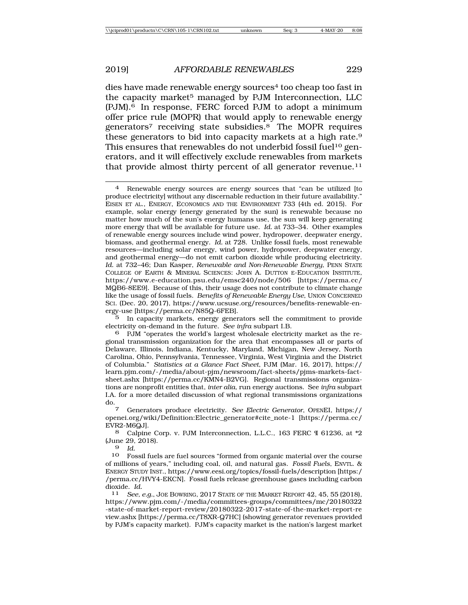dies have made renewable energy sources<sup>4</sup> too cheap too fast in the capacity market<sup>5</sup> managed by PJM Interconnection, LLC (PJM).6 In response, FERC forced PJM to adopt a minimum offer price rule (MOPR) that would apply to renewable energy generators7 receiving state subsidies.8 The MOPR requires these generators to bid into capacity markets at a high rate.9 This ensures that renewables do not underbid fossil fuel<sup>10</sup> generators, and it will effectively exclude renewables from markets that provide almost thirty percent of all generator revenue.<sup>11</sup>

5 In capacity markets, energy generators sell the commitment to provide electricity on-demand in the future. *See infra* subpart I.B.

6 PJM "operates the world's largest wholesale electricity market as the regional transmission organization for the area that encompasses all or parts of Delaware, Illinois, Indiana, Kentucky, Maryland, Michigan, New Jersey, North Carolina, Ohio, Pennsylvania, Tennessee, Virginia, West Virginia and the District of Columbia." *Statistics at a Glance Fact Sheet*, PJM (Mar. 16, 2017), https:// learn.pjm.com/-/media/about-pjm/newsroom/fact-sheets/pjms-markets-factsheet.ashx [https://perma.cc/KMN4-B2VG]. Regional transmissions organizations are nonprofit entities that, *inter alia*, run energy auctions. See *infra* subpart I.A. for a more detailed discussion of what regional transmissions organizations do.7 Generators produce electricity. *See Electric Generator*, OPENEI, https://

openei.org/wiki/Definition:Electric\_generator#cite\_note-1 [https://perma.cc/ EVR2-M6QJ].

8 Calpine Corp. v. PJM Interconnection, L.L.C., 163 FERC ¶ 61236, at \*2 (June 29, 2018).

 $\frac{9}{10}$  *Id.* 

10 Fossil fuels are fuel sources "formed from organic material over the course of millions of years," including coal, oil, and natural gas. *Fossil Fuels*, ENVTL. & ENERGY STUDY INST., https://www.eesi.org/topics/fossil-fuels/description [https:/ /perma.cc/HVY4-EKCN]. Fossil fuels release greenhouse gases including carbon dioxide. *Id.* <sup>11</sup> *See, e.g.*, JOE BOWRING, 2017 STATE OF THE MARKET REPORT 42, 45, 55 (2018),

https://www.pjm.com/-/media/committees-groups/committees/mc/20180322 -state-of-market-report-review/20180322-2017-state-of-the-market-report-re view.ashx [https://perma.cc/T8XR-Q7HC] (showing generator revenues provided by PJM's capacity market). PJM's capacity market is the nation's largest market

<sup>4</sup> Renewable energy sources are energy sources that "can be utilized [to produce electricity] without any discernable reduction in their future availability." EISEN ET AL., ENERGY, ECONOMICS AND THE ENVIRONMENT 733 (4th ed. 2015). For example, solar energy (energy generated by the sun) is renewable because no matter how much of the sun's energy humans use, the sun will keep generating more energy that will be available for future use. *Id.* at 733–34. Other examples of renewable energy sources include wind power, hydropower, deepwater energy, biomass, and geothermal energy. *Id.* at 728. Unlike fossil fuels, most renewable resources—including solar energy, wind power, hydropower, deepwater energy, and geothermal energy—do not emit carbon dioxide while producing electricity. *Id.* at 732–46; Dan Kasper, *Renewable and Non-Renewable Energy*, PENN STATE COLLEGE OF EARTH & MINERAL SCIENCES: JOHN A. DUTTON E-EDUCATION INSTITUTE, https://www.e-education.psu.edu/emsc240/node/506 [https://perma.cc/ MQB6-8EE9]. Because of this, their usage does not contribute to climate change like the usage of fossil fuels. *Benefits of Renewable Energy Use*, UNION CONCERNED SCI. (Dec. 20, 2017), https://www.ucsuse.org/resources/benefits-renewable-energy-use [https://perma.cc/N85Q-6FEB].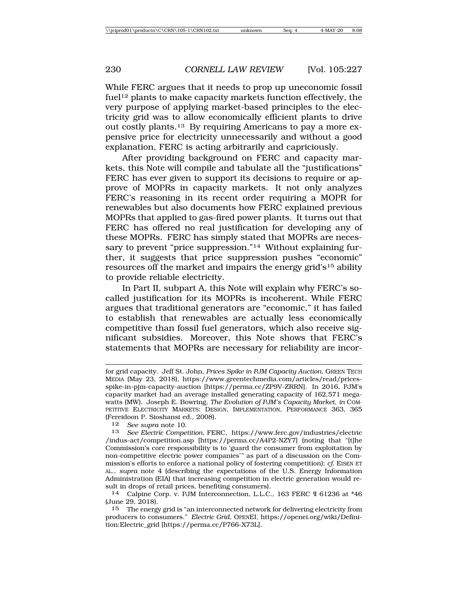While FERC argues that it needs to prop up uneconomic fossil fuel<sup>12</sup> plants to make capacity markets function effectively, the very purpose of applying market-based principles to the electricity grid was to allow economically efficient plants to drive out costly plants.13 By requiring Americans to pay a more expensive price for electricity unnecessarily and without a good explanation, FERC is acting arbitrarily and capriciously.

After providing background on FERC and capacity markets, this Note will compile and tabulate all the "justifications" FERC has ever given to support its decisions to require or approve of MOPRs in capacity markets. It not only analyzes FERC's reasoning in its recent order requiring a MOPR for renewables but also documents how FERC explained previous MOPRs that applied to gas-fired power plants. It turns out that FERC has offered no real justification for developing any of these MOPRs. FERC has simply stated that MOPRs are necessary to prevent "price suppression."<sup>14</sup> Without explaining further, it suggests that price suppression pushes "economic" resources off the market and impairs the energy grid's15 ability to provide reliable electricity.

In Part II, subpart A, this Note will explain why FERC's socalled justification for its MOPRs is incoherent. While FERC argues that traditional generators are "economic," it has failed to establish that renewables are actually less economically competitive than fossil fuel generators, which also receive significant subsidies. Moreover, this Note shows that FERC's statements that MOPRs are necessary for reliability are incor-

12 *See supra* note 10.

13 *See Electric Competition*, FERC, https://www.ferc.gov/industries/electric /indus-act/competition.asp [https://perma.cc/A4P2-NZY7] (noting that "[t]he Commission's core responsibility is to 'guard the consumer from exploitation by non-competitive electric power companies'" as part of a discussion on the Commission's efforts to enforce a national policy of fostering competition); *cf.* EISEN ET AL., *supra* note 4 (describing the expectations of the U.S. Energy Information Administration (EIA) that increasing competition in electric generation would result in drops of retail prices, benefiting consumers).

15 The energy grid is "an interconnected network for delivering electricity from producers to consumers." *Electric Grid*, OPENEI, https://openei.org/wiki/Definition:Electric\_grid [https://perma.cc/P766-X73L].

for grid capacity. Jeff St. John, *Prices Spike in PJM Capacity Auction*, GREEN TECH MEDIA (May 23, 2018), https://www.greentechmedia.com/articles/read/pricesspike-in-pjm-capacity-auction [https://perma.cc/ZP9V-ZRRN]. In 2016, PJM's capacity market had an average installed generating capacity of 162,571 megawatts (MW). Joseph E. Bowring, *The Evolution of PJM's Capacity Market*, *in* COM-PETITIVE ELECTRICITY MARKETS: DESIGN, IMPLEMENTATION, PERFORMANCE 363, 365 (Fereidoon P. Sioshansi ed., 2008).

<sup>14</sup> Calpine Corp. v. PJM Interconnection, L.L.C., 163 FERC ¶ 61236 at \*46 (June 29, 2018).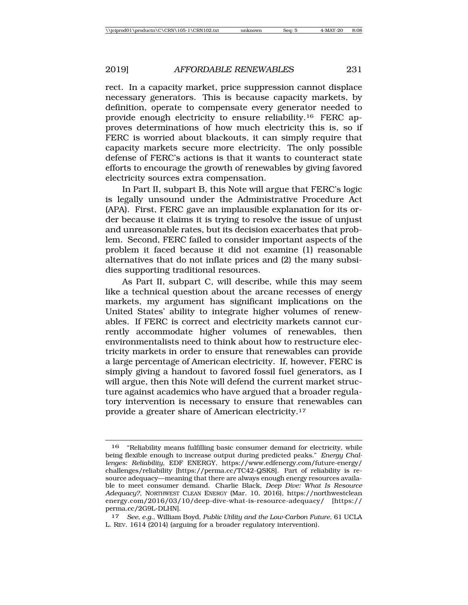rect. In a capacity market, price suppression cannot displace necessary generators. This is because capacity markets, by definition, operate to compensate every generator needed to provide enough electricity to ensure reliability.16 FERC approves determinations of how much electricity this is, so if FERC is worried about blackouts, it can simply require that capacity markets secure more electricity. The only possible defense of FERC's actions is that it wants to counteract state efforts to encourage the growth of renewables by giving favored electricity sources extra compensation.

In Part II, subpart B, this Note will argue that FERC's logic is legally unsound under the Administrative Procedure Act (APA). First, FERC gave an implausible explanation for its order because it claims it is trying to resolve the issue of unjust and unreasonable rates, but its decision exacerbates that problem. Second, FERC failed to consider important aspects of the problem it faced because it did not examine (1) reasonable alternatives that do not inflate prices and (2) the many subsidies supporting traditional resources.

As Part II, subpart C, will describe, while this may seem like a technical question about the arcane recesses of energy markets, my argument has significant implications on the United States' ability to integrate higher volumes of renewables. If FERC is correct and electricity markets cannot currently accommodate higher volumes of renewables, then environmentalists need to think about how to restructure electricity markets in order to ensure that renewables can provide a large percentage of American electricity. If, however, FERC is simply giving a handout to favored fossil fuel generators, as I will argue, then this Note will defend the current market structure against academics who have argued that a broader regulatory intervention is necessary to ensure that renewables can provide a greater share of American electricity.17

<sup>16</sup> "Reliability means fulfilling basic consumer demand for electricity, while being flexible enough to increase output during predicted peaks." *Energy Challenges: Reliability*, EDF ENERGY, https://www.edfenergy.com/future-energy/ challenges/reliability [https://perma.cc/TC42-QSK8]. Part of reliability is resource adequacy—meaning that there are always enough energy resources available to meet consumer demand. Charlie Black, *Deep Dive: What Is Resource Adequacy?*, NORTHWEST CLEAN ENERGY (Mar. 10, 2016), https://northwestclean energy.com/2016/03/10/deep-dive-what-is-resource-adequacy/ [https:// perma.cc/2G9L-DLHN].

<sup>17</sup> *See, e.g.*, William Boyd, *Public Utility and the Low-Carbon Future*, 61 UCLA L. REV. 1614 (2014) (arguing for a broader regulatory intervention).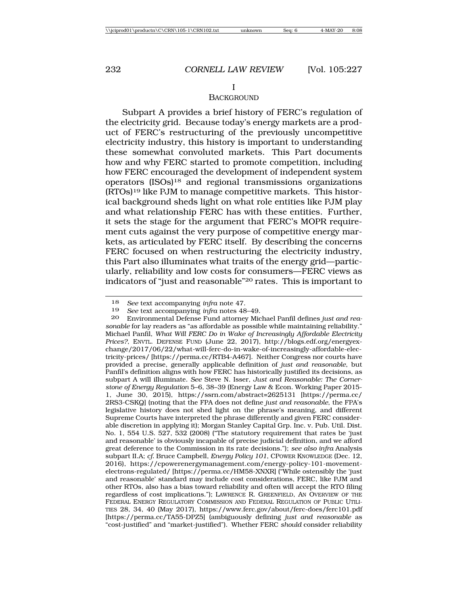#### **BACKGROUND**

Subpart A provides a brief history of FERC's regulation of the electricity grid. Because today's energy markets are a product of FERC's restructuring of the previously uncompetitive electricity industry, this history is important to understanding these somewhat convoluted markets. This Part documents how and why FERC started to promote competition, including how FERC encouraged the development of independent system operators (ISOs)18 and regional transmissions organizations (RTOs)19 like PJM to manage competitive markets. This historical background sheds light on what role entities like PJM play and what relationship FERC has with these entities. Further, it sets the stage for the argument that FERC's MOPR requirement cuts against the very purpose of competitive energy markets, as articulated by FERC itself. By describing the concerns FERC focused on when restructuring the electricity industry, this Part also illuminates what traits of the energy grid—particularly, reliability and low costs for consumers—FERC views as indicators of "just and reasonable"20 rates. This is important to

<sup>18</sup> *See* text accompanying *infra* note 47.

<sup>19</sup> *See* text accompanying *infra* notes 48–49.

Environmental Defense Fund attorney Michael Panfil defines *just and reasonable* for lay readers as "as affordable as possible while maintaining reliability." Michael Panfil, *What Will FERC Do in Wake of Increasingly Affordable Electricity Prices?*, ENVTL. DEFENSE FUND (June 22, 2017), http://blogs.edf.org/energyexchange/2017/06/22/what-will-ferc-do-in-wake-of-increasingly-affordable-electricity-prices/ [https://perma.cc/RTB4-A467]. Neither Congress nor courts have provided a precise, generally applicable definition of *just and reasonable*, but Panfil's definition aligns with how FERC has historically justified its decisions, as subpart A will illuminate. *See* Steve N. Isser, *Just and Reasonable: The Cornerstone of Energy Regulation* 5–6, 38–39 (Energy Law & Econ. Working Paper 2015- 1, June 30, 2015), https://ssrn.com/abstract=2625131 [https://perma.cc/ 2RS3-CSKQ] (noting that the FPA does not define *just and reasonable*, the FPA's legislative history does not shed light on the phrase's meaning, and different Supreme Courts have interpreted the phrase differently and given FERC considerable discretion in applying it); Morgan Stanley Capital Grp. Inc. v. Pub. Util. Dist. No. 1, 554 U.S. 527, 532 (2008) ("The statutory requirement that rates be 'just and reasonable' is obviously incapable of precise judicial definition, and we afford great deference to the Commission in its rate decisions."); *see also infra* Analysis subpart II.A; *cf.* Bruce Campbell, *Energy Policy 101*, CPOWER KNOWLEDGE (Dec. 12, 2016), https://cpowerenergymanagement.com/energy-policy-101-movementelectrons-regulated/ [https://perma.cc/HM58-XNXR] ("While ostensibly the 'just and reasonable' standard may include cost considerations, FERC, like PJM and other RTOs, also has a bias toward reliability and often will accept the RTO filing regardless of cost implications."); LAWRENCE R. GREENFIELD, AN OVERVIEW OF THE FEDERAL ENERGY REGULATORY COMMISSION AND FEDERAL REGULATION OF PUBLIC UTILI-TIES 28, 34, 40 (May 2017), https://www.ferc.gov/about/ferc-does/ferc101.pdf [https://perma.cc/TA55-DPZ5] (ambiguously defining *just and reasonable* as "cost-justified" and "market-justified"). Whether FERC *should* consider reliability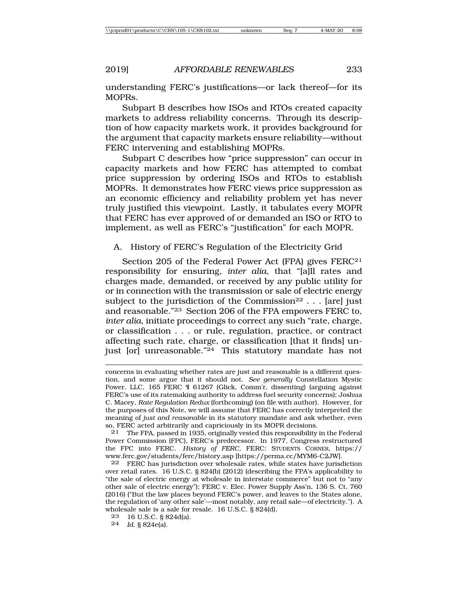understanding FERC's justifications—or lack thereof—for its MOPRs.

Subpart B describes how ISOs and RTOs created capacity markets to address reliability concerns. Through its description of how capacity markets work, it provides background for the argument that capacity markets ensure reliability—without FERC intervening and establishing MOPRs.

Subpart C describes how "price suppression" can occur in capacity markets and how FERC has attempted to combat price suppression by ordering ISOs and RTOs to establish MOPRs. It demonstrates how FERC views price suppression as an economic efficiency and reliability problem yet has never truly justified this viewpoint. Lastly, it tabulates every MOPR that FERC has ever approved of or demanded an ISO or RTO to implement, as well as FERC's "justification" for each MOPR.

A. History of FERC's Regulation of the Electricity Grid

Section 205 of the Federal Power Act (FPA) gives FERC<sup>21</sup> responsibility for ensuring, *inter alia*, that "[a]ll rates and charges made, demanded, or received by any public utility for or in connection with the transmission or sale of electric energy subject to the jurisdiction of the Commission<sup>22</sup> . . . [are] just and reasonable."23 Section 206 of the FPA empowers FERC to, *inter alia*, initiate proceedings to correct any such "rate, charge, or classification . . . or rule, regulation, practice, or contract affecting such rate, charge, or classification [that it finds] unjust  $[or]$  unreasonable."<sup>24</sup> This statutory mandate has not

21 The FPA, passed in 1935, originally vested this responsibility in the Federal Power Commission (FPC), FERC's predecessor. In 1977, Congress restructured the FPC into FERC. *History of FERC*, FERC: STUDENTS CORNER, https:// www.ferc.gov/students/ferc/history.asp [https://perma.cc/MYM6-C2JW].

concerns in evaluating whether rates are just and reasonable is a different question, and some argue that it should not. *See generally* Constellation Mystic Power, LLC, 165 FERC ¶ 61267 (Glick, Comm'r, dissenting) (arguing against FERC's use of its ratemaking authority to address fuel security concerns); Joshua C. Macey, *Rate Regulation Redux* (forthcoming) (on file with author). However, for the purposes of this Note, we will assume that FERC has correctly interpreted the meaning of *just and reasonable* in its statutory mandate and ask whether, even so, FERC acted arbitrarily and capriciously in its MOPR decisions.

<sup>22</sup> FERC has jurisdiction over wholesale rates, while states have jurisdiction over retail rates. 16 U.S.C. § 824(b) (2012) (describing the FPA's applicability to "the sale of electric energy at wholesale in interstate commerce" but not to "any other sale of electric energy"); FERC v. Elec. Power Supply Ass'n, 136 S. Ct. 760 (2016) ("But the law places beyond FERC's power, and leaves to the States alone, the regulation of 'any other sale'—most notably, any retail sale—of electricity."). A wholesale sale is a sale for resale. 16 U.S.C. § 824(d).

<sup>23</sup> 16 U.S.C. § 824d(a).

<sup>24</sup> *Id.* § 824e(a).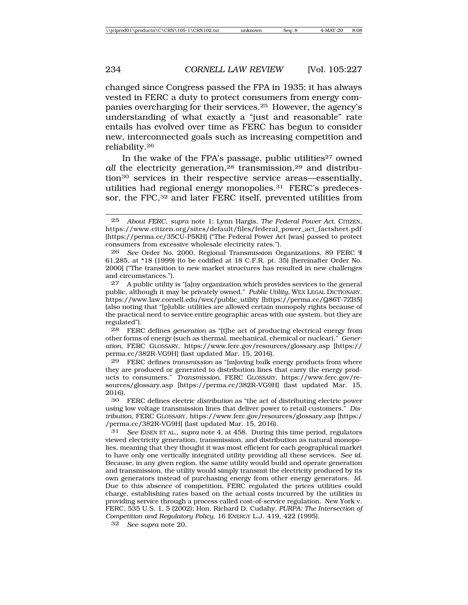changed since Congress passed the FPA in 1935; it has always vested in FERC a duty to protect consumers from energy companies overcharging for their services.25 However, the agency's understanding of what exactly a "just and reasonable" rate entails has evolved over time as FERC has begun to consider new, interconnected goals such as increasing competition and reliability.26

In the wake of the FPA's passage, public utilities<sup>27</sup> owned *all* the electricity generation,<sup>28</sup> transmission,<sup>29</sup> and distribution30 services in their respective service areas—essentially, utilities had regional energy monopolies.31 FERC's predecessor, the FPC,<sup>32</sup> and later FERC itself, prevented utilities from

27 A public utility is "[a]ny organization which provides services to the general public, although it may be privately owned." *Public Utility,* WEX LEGAL DICTIONARY, https://www.law.cornell.edu/wex/public\_utility [https://perma.cc/Q86T-7ZB5] (also noting that "[p]ublic utilities are allowed certain monopoly rights because of the practical need to service entire geographic areas with one system, but they are regulated").

28 FERC defines *generation* as "[t]he act of producing electrical energy from other forms of energy (such as thermal, mechanical, chemical or nuclear)." *Generation*, FERC GLOSSARY, https://www.ferc.gov/resources/glossary.asp [https:// perma.cc/382R-VG9H] (last updated Mar. 15, 2016).

29 FERC defines *transmission* as "[m]oving bulk energy products from where they are produced or generated to distribution lines that carry the energy products to consumers." *Transmission*, FERC GLOSSARY, https://www.ferc.gov/resources/glossary.asp [https://perma.cc/382R-VG9H] (last updated Mar. 15, 2016).

30 FERC defines electric *distribution* as "the act of distributing electric power using low voltage transmission lines that deliver power to retail customers." *Distribution*, FERC GLOSSARY, https://www.ferc.gov/resources/glossary.asp [https:/ /perma.cc/382R-VG9H] (last updated Mar. 15, 2016).

31 *See* EISEN ET AL., *supra* note 4, at 458. During this time period, regulators viewed electricity generation, transmission, and distribution as natural monopolies, meaning that they thought it was most efficient for each geographical market to have only one vertically integrated utility providing all these services. *See id.* Because, in any given region, the same utility would build and operate generation and transmission, the utility would simply transmit the electricity produced by its own generators instead of purchasing energy from other energy generators. *Id.* Due to this absence of competition, FERC regulated the prices utilities could charge, establishing rates based on the actual costs incurred by the utilities in providing service through a process called cost-of-service regulation. New York v. FERC, 535 U.S. 1, 5 (2002); Hon. Richard D. Cudahy, *PURPA: The Intersection of Competition and Regulatory Policy*, 16 ENERGY L.J. 419, 422 (1995).

32 *See supra* note 20.

<sup>25</sup> *About FERC*, *supra* note 1; Lynn Hargis, *The Federal Power Act*, CITIZEN, https://www.citizen.org/sites/default/files/federal\_power\_act\_factsheet.pdf [https://perma.cc/35CU-P5KH] ("The Federal Power Act [was] passed to protect consumers from excessive wholesale electricity rates.").

<sup>26</sup> *See* Order No. 2000, Regional Transmission Organizations, 89 FERC ¶ 61,285, at \*18 (1999) (to be codified at 18 C.F.R. pt. 35) [hereinafter Order No. 2000] ("The transition to new market structures has resulted in new challenges and circumstances.").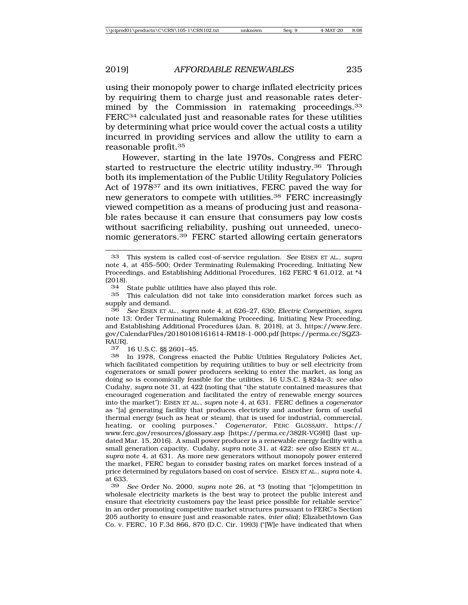using their monopoly power to charge inflated electricity prices by requiring them to charge just and reasonable rates determined by the Commission in ratemaking proceedings.<sup>33</sup> FERC34 calculated just and reasonable rates for these utilities by determining what price would cover the actual costs a utility incurred in providing services and allow the utility to earn a reasonable profit.35

However, starting in the late 1970s, Congress and FERC started to restructure the electric utility industry.36 Through both its implementation of the Public Utility Regulatory Policies Act of 1978<sup>37</sup> and its own initiatives, FERC paved the way for new generators to compete with utilities.38 FERC increasingly viewed competition as a means of producing just and reasonable rates because it can ensure that consumers pay low costs without sacrificing reliability, pushing out unneeded, uneconomic generators.39 FERC started allowing certain generators

34 State public utilities have also played this role.

35 This calculation did not take into consideration market forces such as supply and demand.

36 *See* EISEN ET AL., *supra* note 4, at 626–27, 630; *Electric Competition*, *supra* note 13; Order Terminating Rulemaking Proceeding, Initiating New Proceeding, and Establishing Additional Procedures (Jan. 8, 2018), at 3, https://www.ferc. gov/CalendarFiles/20180108161614-RM18-1-000.pdf [https://perma.cc/SQZ3- RAUR].

37 16 U.S.C. §§ 2601–45.

38 In 1978, Congress enacted the Public Utilities Regulatory Policies Act, which facilitated competition by requiring utilities to buy or sell electricity from cogenerators or small power producers seeking to enter the market, as long as doing so is economically feasible for the utilities. 16 U.S.C. § 824a-3; *see also* Cudahy, *supra* note 31, at 422 (noting that "the statute contained measures that encouraged cogeneration and facilitated the entry of renewable energy sources into the market"); EISEN ET AL., *supra* note 4, at 631. FERC defines a *cogenerator* as "[a] generating facility that produces electricity and another form of useful thermal energy (such as heat or steam), that is used for industrial, commercial, heating, or cooling purposes." *Cogenerator*, FERC GLOSSARY, https:// www.ferc.gov/resources/glossary.asp [https://perma.cc/382R-VG9H] (last updated Mar. 15, 2016). A small power producer is a renewable energy facility with a small generation capacity. Cudahy, *supra* note 31, at 422; *see also* EISEN ET AL., *supra* note 4, at 631. As more new generators without monopoly power entered the market, FERC began to consider basing rates on market forces instead of a price determined by regulators based on cost of service. EISEN ET AL., *supra* note 4, at  $633.$ 

39 *See* Order No. 2000, *supra* note 26, at \*3 (noting that "[c]ompetition in wholesale electricity markets is the best way to protect the public interest and ensure that electricity customers pay the least price possible for reliable service" in an order promoting competitive market structures pursuant to FERC's Section 205 authority to ensure just and reasonable rates, *inter alia*); Elizabethtown Gas Co. v. FERC, 10 F.3d 866, 870 (D.C. Cir. 1993) ("[W]e have indicated that when

<sup>33</sup> This system is called cost-of-service regulation. *See* EISEN ET AL., *supra* note 4, at 455–500; Order Terminating Rulemaking Proceeding, Initiating New Proceedings, and Establishing Additional Procedures, 162 FERC ¶ 61,012, at \*4  $\frac{(2018)}{34}$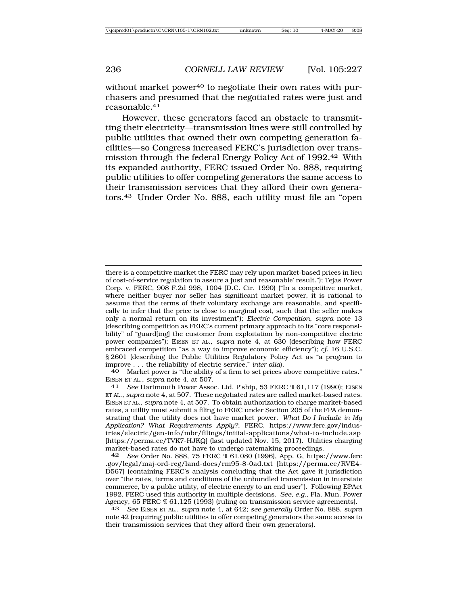without market power<sup>40</sup> to negotiate their own rates with purchasers and presumed that the negotiated rates were just and reasonable.41

However, these generators faced an obstacle to transmitting their electricity—transmission lines were still controlled by public utilities that owned their own competing generation facilities—so Congress increased FERC's jurisdiction over transmission through the federal Energy Policy Act of 1992.42 With its expanded authority, FERC issued Order No. 888, requiring public utilities to offer competing generators the same access to their transmission services that they afford their own generators.43 Under Order No. 888, each utility must file an "open

there is a competitive market the FERC may rely upon market-based prices in lieu of cost-of-service regulation to assure a just and reasonable' result."); Tejas Power Corp. v. FERC, 908 F.2d 998, 1004 (D.C. Cir. 1990) ("In a competitive market, where neither buyer nor seller has significant market power, it is rational to assume that the terms of their voluntary exchange are reasonable, and specifically to infer that the price is close to marginal cost, such that the seller makes only a normal return on its investment"); *Electric Competition*, *supra* note 13 (describing competition as FERC's current primary approach to its "core responsibility" of "guard[ing] the customer from exploitation by non-competitive electric power companies"); EISEN ET AL., *supra* note 4, at 630 (describing how FERC embraced competition "as a way to improve economic efficiency"); *cf.* 16 U.S.C. § 2601 (describing the Public Utilities Regulatory Policy Act as "a program to improve . . . the reliability of electric service," *inter alia*).

40 Market power is "the ability of a firm to set prices above competitive rates." EISEN ET AL., *supra* note 4, at 507. <sup>41</sup> *See* Dartmouth Power Assoc. Ltd. P'ship, 53 FERC ¶ 61,117 (1990); EISEN

ET AL., *supra* note 4, at 507. These negotiated rates are called market-based rates. EISEN ET AL., *supra* note 4, at 507. To obtain authorization to charge market-based rates, a utility must submit a filing to FERC under Section 205 of the FPA demonstrating that the utility does not have market power. *What Do I Include in My Application? What Requirements Apply?*, FERC, https://www.ferc.gov/industries/electric/gen-info/mbr/filings/initial-applications/what-to-include.asp [https://perma.cc/TVK7-HJKQ] (last updated Nov. 15, 2017). Utilities charging market-based rates do not have to undergo ratemaking proceedings.<br>42 See Order No. 888 75 FERC 9.61.080 (1996) App. G. bttps:

42 *See* Order No. 888, 75 FERC ¶ 61,080 (1996), App. G, https://www.ferc .gov/legal/maj-ord-reg/land-docs/rm95-8-0ad.txt [https://perma.cc/RVE4- D567] (containing FERC's analysis concluding that the Act gave it jurisdiction over "the rates, terms and conditions of the unbundled transmission in interstate commerce, by a public utility, of electric energy to an end user"). Following EPAct 1992, FERC used this authority in multiple decisions. *See, e.g.*, Fla. Mun. Power Agency, 65 FERC ¶ 61,125 (1993) (ruling on transmission service agreements).

43 *See* EISEN ET AL., *supra* note 4, at 642; *see generally* Order No. 888, *supra* note 42 (requiring public utilities to offer competing generators the same access to their transmission services that they afford their own generators).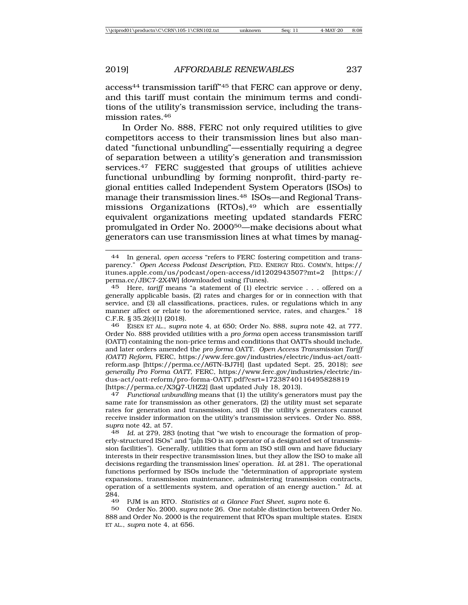access44 transmission tariff"45 that FERC can approve or deny, and this tariff must contain the minimum terms and conditions of the utility's transmission service, including the transmission rates.46

In Order No. 888, FERC not only required utilities to give competitors access to their transmission lines but also mandated "functional unbundling"—essentially requiring a degree of separation between a utility's generation and transmission services.<sup>47</sup> FERC suggested that groups of utilities achieve functional unbundling by forming nonprofit, third-party regional entities called Independent System Operators (ISOs) to manage their transmission lines.48 ISOs—and Regional Transmissions Organizations (RTOs),<sup>49</sup> which are essentially equivalent organizations meeting updated standards FERC promulgated in Order No. 200050—make decisions about what generators can use transmission lines at what times by manag-

47 *Functional unbundling* means that (1) the utility's generators must pay the same rate for transmission as other generators, (2) the utility must set separate rates for generation and transmission, and (3) the utility's generators cannot receive insider information on the utility's transmission services. Order No. 888, *supra* note 42, at 57.

48 *Id.* at 279, 283 (noting that "we wish to encourage the formation of properly-structured ISOs" and "[a]n ISO is an operator of a designated set of transmission facilities"). Generally, utilities that form an ISO still own and have fiduciary interests in their respective transmission lines, but they allow the ISO to make all decisions regarding the transmission lines' operation. *Id.* at 281. The operational functions performed by ISOs include the "determination of appropriate system expansions, transmission maintenance, administering transmission contracts, operation of a settlements system, and operation of an energy auction." *Id.* at  $\frac{284}{49}$ 

49 PJM is an RTO. *Statistics at a Glance Fact Sheet, supra* note 6.

50 Order No. 2000, *supra* note 26. One notable distinction between Order No. 888 and Order No. 2000 is the requirement that RTOs span multiple states. EISEN ET AL., *supra* note 4, at 656.

<sup>44</sup> In general, *open access* "refers to FERC fostering competition and transparency." *Open Access Podcast Description*, FED. ENERGY REG. COMM'N, https:// itunes.apple.com/us/podcast/open-access/id1202943507?mt=2 [https:// perma.cc/JBC7-2X4W] (downloaded using iTunes).

<sup>45</sup> Here, *tariff* means "a statement of (1) electric service . . . offered on a generally applicable basis, (2) rates and charges for or in connection with that service, and (3) all classifications, practices, rules, or regulations which in any manner affect or relate to the aforementioned service, rates, and charges." 18 C.F.R. § 35.2(c)(1) (2018).

<sup>46</sup> EISEN ET AL., *supra* note 4, at 650; Order No. 888, *supra* note 42, at 777. Order No. 888 provided utilities with a *pro forma* open access transmission tariff (OATT) containing the non-price terms and conditions that OATTs should include, and later orders amended the *pro forma* OATT. *Open Access Transmission Tariff (OATT) Reform*, FERC, https://www.ferc.gov/industries/electric/indus-act/oattreform.asp [https://perma.cc/A6TN-BJ7H] (last updated Sept. 25, 2018); *see generally Pro Forma OATT*, FERC, https://www.ferc.gov/industries/electric/indus-act/oatt-reform/pro-forma-OATT.pdf?csrt=17238740116495828819 [https://perma.cc/X3Q7-UHZ2] (last updated July 18, 2013).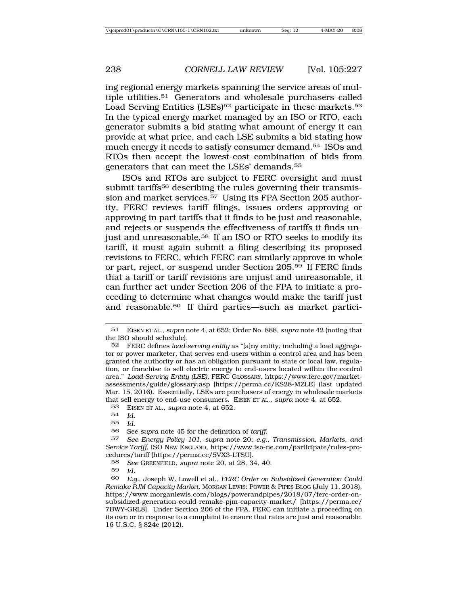ing regional energy markets spanning the service areas of multiple utilities.51 Generators and wholesale purchasers called Load Serving Entities (LSEs)<sup>52</sup> participate in these markets.<sup>53</sup> In the typical energy market managed by an ISO or RTO, each generator submits a bid stating what amount of energy it can provide at what price, and each LSE submits a bid stating how much energy it needs to satisfy consumer demand.54 ISOs and RTOs then accept the lowest-cost combination of bids from generators that can meet the LSEs' demands.55

ISOs and RTOs are subject to FERC oversight and must submit tariffs<sup>56</sup> describing the rules governing their transmission and market services.<sup>57</sup> Using its FPA Section 205 authority, FERC reviews tariff filings, issues orders approving or approving in part tariffs that it finds to be just and reasonable, and rejects or suspends the effectiveness of tariffs it finds unjust and unreasonable.<sup>58</sup> If an ISO or RTO seeks to modify its tariff, it must again submit a filing describing its proposed revisions to FERC, which FERC can similarly approve in whole or part, reject, or suspend under Section 205.59 If FERC finds that a tariff or tariff revisions are unjust and unreasonable, it can further act under Section 206 of the FPA to initiate a proceeding to determine what changes would make the tariff just and reasonable.60 If third parties—such as market partici-

<sup>51</sup> EISEN ET AL., *supra* note 4, at 652; Order No. 888, *supra* note 42 (noting that the ISO should schedule).

<sup>52</sup> FERC defines *load-serving entity* as "[a]ny entity, including a load aggregator or power marketer, that serves end-users within a control area and has been granted the authority or has an obligation pursuant to state or local law, regulation, or franchise to sell electric energy to end-users located within the control area." *Load-Serving Entity (LSE)*, FERC GLOSSARY, https://www.ferc.gov/marketassessments/guide/glossary.asp [https://perma.cc/KS28-MZLE] (last updated Mar. 15, 2016). Essentially, LSEs are purchasers of energy in wholesale markets that sell energy to end-use consumers. EISEN ET AL., *supra* note 4, at 652*.*

<sup>53</sup> EISEN ET AL., *supra* note 4, at 652.

<sup>54</sup> *Id.*

<sup>55</sup> *Id.*

<sup>56</sup> See *supra* note 45 for the definition of *tariff*.

<sup>57</sup> *See Energy Policy 101*, *supra* note 20; *e.g.*, *Transmission, Markets, and Service Tariff*, ISO NEW ENGLAND, https://www.iso-ne.com/participate/rules-procedures/tariff [https://perma.cc/5VX3-LTSU].

<sup>58</sup> *See* GREENFIELD, *supra* note 20, at 28, 34, 40.

<sup>59</sup> *Id.*

<sup>60</sup> *E.g.*, Joseph W. Lowell et al., *FERC Order on Subsidized Generation Could Remake PJM Capacity Market*, MORGAN LEWIS: POWER & PIPES BLOG (July 11, 2018), https://www.morganlewis.com/blogs/powerandpipes/2018/07/ferc-order-onsubsidized-generation-could-remake-pjm-capacity-market/ [https://perma.cc/ 7BWY-GRL8]. Under Section 206 of the FPA, FERC can initiate a proceeding on its own or in response to a complaint to ensure that rates are just and reasonable. 16 U.S.C. § 824e (2012).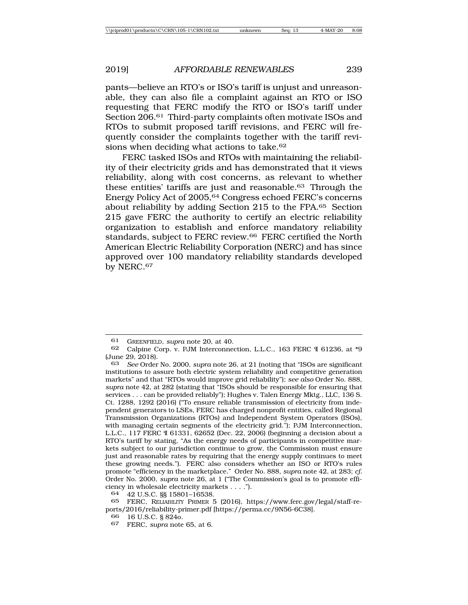pants—believe an RTO's or ISO's tariff is unjust and unreasonable, they can also file a complaint against an RTO or ISO requesting that FERC modify the RTO or ISO's tariff under Section 206.61 Third-party complaints often motivate ISOs and RTOs to submit proposed tariff revisions, and FERC will frequently consider the complaints together with the tariff revisions when deciding what actions to take.<sup>62</sup>

FERC tasked ISOs and RTOs with maintaining the reliability of their electricity grids and has demonstrated that it views reliability, along with cost concerns, as relevant to whether these entities' tariffs are just and reasonable.63 Through the Energy Policy Act of 2005,64 Congress echoed FERC's concerns about reliability by adding Section 215 to the FPA.65 Section 215 gave FERC the authority to certify an electric reliability organization to establish and enforce mandatory reliability standards, subject to FERC review.66 FERC certified the North American Electric Reliability Corporation (NERC) and has since approved over 100 mandatory reliability standards developed by NERC.<sup>67</sup>

<sup>61</sup> GREENFIELD, *supra* note 20, at 40.

<sup>62</sup> Calpine Corp. v. PJM Interconnection, L.L.C., 163 FERC ¶ 61236, at \*9 (June 29, 2018).<br>63 See Order

<sup>63</sup> *See* Order No. 2000, *supra* note 26, at 21 (noting that "ISOs are significant institutions to assure both electric system reliability and competitive generation markets" and that "RTOs would improve grid reliability"); *see also* Order No. 888, *supra* note 42, at 282 (stating that "ISOs should be responsible for ensuring that services . . . can be provided reliably"); Hughes v. Talen Energy Mktg., LLC, 136 S. Ct. 1288, 1292 (2016) ("To ensure reliable transmission of electricity from independent generators to LSEs, FERC has charged nonprofit entities, called Regional Transmission Organizations (RTOs) and Independent System Operators (ISOs), with managing certain segments of the electricity grid."); PJM Interconnection, L.L.C., 117 FERC ¶ 61331, 62652 (Dec. 22, 2006) (beginning a decision about a RTO's tariff by stating, "As the energy needs of participants in competitive markets subject to our jurisdiction continue to grow, the Commission must ensure just and reasonable rates by requiring that the energy supply continues to meet these growing needs."). FERC also considers whether an ISO or RTO's rules promote "efficiency in the marketplace." Order No. 888, *supra* note 42, at 283; *cf.* Order No. 2000, *supra* note 26, at 1 ("The Commission's goal is to promote efficiency in wholesale electricity markets . . . .").

<sup>64</sup> 42 U.S.C. §§ 15801–16538.

FERC, RELIABILITY PRIMER 5 (2016), https://www.ferc.gov/legal/staff-reports/2016/reliability-primer.pdf [https://perma.cc/9N56-6C38].

<sup>66</sup> 16 U.S.C. § 824o.

<sup>67</sup> FERC, *supra* note 65, at 6.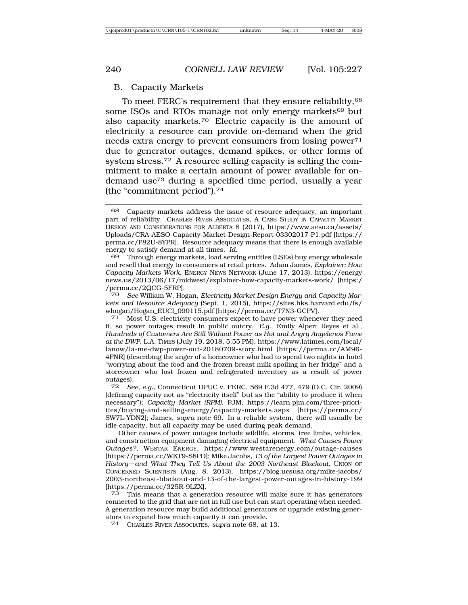#### B. Capacity Markets

To meet FERC's requirement that they ensure reliability,  $68$ some ISOs and RTOs manage not only energy markets<sup>69</sup> but also capacity markets.70 Electric capacity is the amount of electricity a resource can provide on-demand when the grid needs extra energy to prevent consumers from losing power<sup>71</sup> due to generator outages, demand spikes, or other forms of system stress.72 A resource selling capacity is selling the commitment to make a certain amount of power available for ondemand use73 during a specified time period, usually a year (the "commitment period").74

69 Through energy markets, load serving entities (LSEs) buy energy wholesale and resell that energy to consumers at retail prices. Adam James, *Explainer: How Capacity Markets Work*, ENERGY NEWS NETWORK (June 17, 2013), https://energy news.us/2013/06/17/midwest/explainer-how-capacity-markets-work/ [https:/ /perma.cc/2QCG-5FRP].<br>70 See William W. Ho

See William W. Hogan, *Electricity Market Design Energy and Capacity Markets and Resource Adequacy* (Sept. 1, 2015), https://sites.hks.harvard.edu/fs/ whogan/Hogan\_EUCI\_090115.pdf [https://perma.cc/T7N3-GCPV].<br><sup>71</sup> Most U.S. electricity consumers expect to have nower whene

Most U.S. electricity consumers expect to have power whenever they need it, so power outages result in public outcry. *E.g.*, Emily Alpert Reyes et al., *Hundreds of Customers Are Still Without Power as Hot and Angry Angelenos Fume at the DWP*, L.A. TIMES (July 19, 2018, 5:55 PM), https://www.latimes.com/local/ lanow/la-me-dwp-power-out-20180709-story.html [https://perma.cc/AM96- 4FNR] (describing the anger of a homeowner who had to spend two nights in hotel "worrying about the food and the frozen breast milk spoiling in her fridge" and a storeowner who lost frozen and refrigerated inventory as a result of power outages).<br> $72 S_f$ 

72 *See, e.g.*, Connecticut DPUC v. FERC, 569 F.3d 477, 479 (D.C. Cir. 2009) (defining capacity not as "electricity itself" but as the "ability to produce it when necessary"); *Capacity Market (RPM)*, PJM, https://learn.pjm.com/three-priorities/buying-and-selling-energy/capacity-markets.aspx [https://perma.cc/ SW7L-YDN2]; James, *supra* note 69. In a reliable system, there will usually be idle capacity, but all capacity may be used during peak demand.

Other causes of power outages include wildlife, storms, tree limbs, vehicles, and construction equipment damaging electrical equipment. *What Causes Power Outages?*, WESTAR ENERGY, https://www.westarenergy.com/outage-causes [https://perma.cc/WKT9-S8PD]; Mike Jacobs, *13 of the Largest Power Outages in History—and What They Tell Us About the 2003 Northeast Blackout*, UNION OF CONCERNED SCIENTISTS (Aug. 8, 2013), https://blog.ucsusa.org/mike-jacobs/ 2003-northeast-blackout-and-13-of-the-largest-power-outages-in-history-199 [https://perma.cc/325R-9LZX].

73 This means that a generation resource will make sure it has generators connected to the grid that are not in full use but can start operating when needed. A generation resource may build additional generators or upgrade existing generators to expand how much capacity it can provide.

74 CHARLES RIVER ASSOCIATES, *supra* note 68, at 13.

<sup>68</sup> Capacity markets address the issue of resource adequacy, an important part of reliability. CHARLES RIVER ASSOCIATES, A CASE STUDY IN CAPACITY MARKET DESIGN AND CONSIDERATIONS FOR ALBERTA 8 (2017), https://www.aeso.ca/assets/ Uploads/CRA-AESO-Capacity-Market-Design-Report-03302017-P1.pdf [https:// perma.cc/P82U-8YPR]. Resource adequacy means that there is enough available energy to satisfy demand at all times. *Id.*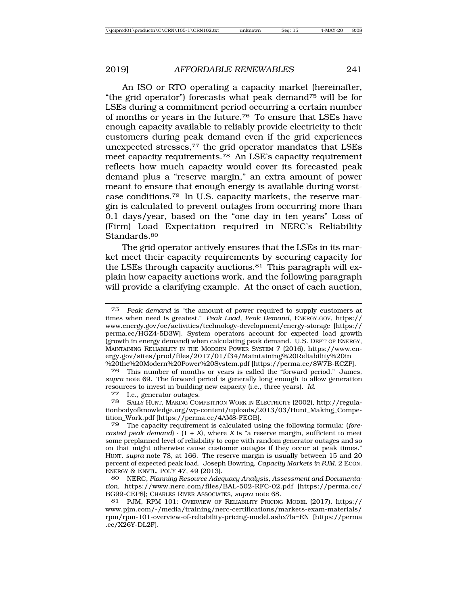An ISO or RTO operating a capacity market (hereinafter, "the grid operator") forecasts what peak demand75 will be for LSEs during a commitment period occurring a certain number of months or years in the future.76 To ensure that LSEs have enough capacity available to reliably provide electricity to their customers during peak demand even if the grid experiences unexpected stresses,<sup>77</sup> the grid operator mandates that LSEs meet capacity requirements.78 An LSE's capacity requirement reflects how much capacity would cover its forecasted peak demand plus a "reserve margin," an extra amount of power meant to ensure that enough energy is available during worstcase conditions.79 In U.S. capacity markets, the reserve margin is calculated to prevent outages from occurring more than 0.1 days/year, based on the "one day in ten years" Loss of (Firm) Load Expectation required in NERC's Reliability Standards.<sup>80</sup>

The grid operator actively ensures that the LSEs in its market meet their capacity requirements by securing capacity for the LSEs through capacity auctions.81 This paragraph will explain how capacity auctions work, and the following paragraph will provide a clarifying example. At the onset of each auction,

This number of months or years is called the "forward period." James, *supra* note 69. The forward period is generally long enough to allow generation resources to invest in building new capacity (i.e., three years). *Id.* <sup>77</sup> I.e., generator outages.

<sup>75</sup> *Peak demand* is "the amount of power required to supply customers at times when need is greatest." *Peak Load, Peak Demand*, ENERGY.GOV, https:// www.energy.gov/oe/activities/technology-development/energy-storage [https:// perma.cc/HGZ4-5D3W]. System operators account for expected load growth (growth in energy demand) when calculating peak demand. U.S. DEP'T OF ENERGY, MAINTAINING RELIABILITY IN THE MODERN POWER SYSTEM 7 (2016), https://www.energy.gov/sites/prod/files/2017/01/f34/Maintaining%20Reliability%20in %20the%20Modern%20Power%20System.pdf [https://perma.cc/8W7B-KCZP].

<sup>78</sup> SALLY HUNT, MAKING COMPETITION WORK IN ELECTRICITY (2002), http://regulationbodyofknowledge.org/wp-content/uploads/2013/03/Hunt\_Making\_Competition\_Work.pdf [https://perma.cc/4AM8-FEGB].

<sup>79</sup> The capacity requirement is calculated using the following formula: (*forecasted peak demand*)  $\cdot$  (1 + *X*), where *X* is "a reserve margin, sufficient to meet some preplanned level of reliability to cope with random generator outages and so on that might otherwise cause customer outages if they occur at peak times." HUNT, *supra* note 78, at 166. The reserve margin is usually between 15 and 20 percent of expected peak load. Joseph Bowring, *Capacity Markets in PJM*, 2 ECON. ENERGY & ENVTL. POL'Y 47, 49 (2013).

<sup>80</sup> NERC, *Planning Resource Adequacy Analysis, Assessment and Documentation*, https://www.nerc.com/files/BAL-502-RFC-02.pdf [https://perma.cc/ BG99-CEP8]; CHARLES RIVER ASSOCIATES, *supra* note 68.

<sup>81</sup> PJM, RPM 101: OVERVIEW OF RELIABILITY PRICING MODEL (2017), https:// www.pjm.com/-/media/training/nerc-certifications/markets-exam-materials/ rpm/rpm-101-overview-of-reliability-pricing-model.ashx?la=EN [https://perma .cc/X26Y-DL2F].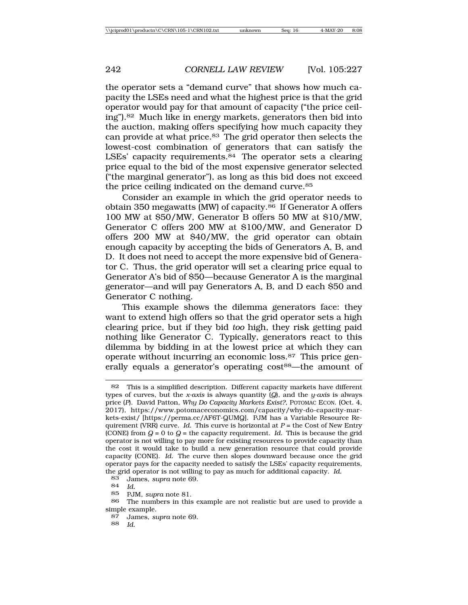the operator sets a "demand curve" that shows how much capacity the LSEs need and what the highest price is that the grid operator would pay for that amount of capacity ("the price ceiling").82 Much like in energy markets, generators then bid into the auction, making offers specifying how much capacity they can provide at what price.83 The grid operator then selects the lowest-cost combination of generators that can satisfy the LSEs' capacity requirements.<sup>84</sup> The operator sets a clearing price equal to the bid of the most expensive generator selected ("the marginal generator"), as long as this bid does not exceed the price ceiling indicated on the demand curve.<sup>85</sup>

Consider an example in which the grid operator needs to obtain 350 megawatts (MW) of capacity.<sup>86</sup> If Generator A offers 100 MW at \$50/MW, Generator B offers 50 MW at \$10/MW, Generator C offers 200 MW at \$100/MW, and Generator D offers 200 MW at \$40/MW, the grid operator can obtain enough capacity by accepting the bids of Generators A, B, and D. It does not need to accept the more expensive bid of Generator C. Thus, the grid operator will set a clearing price equal to Generator A's bid of \$50—because Generator A is the marginal generator—and will pay Generators A, B, and D each \$50 and Generator C nothing.

This example shows the dilemma generators face: they want to extend high offers so that the grid operator sets a high clearing price, but if they bid *too* high, they risk getting paid nothing like Generator C. Typically, generators react to this dilemma by bidding in at the lowest price at which they can operate without incurring an economic loss.87 This price generally equals a generator's operating cost<sup>88</sup>—the amount of

83 James, *supra* note 69.

84 *Id.*

85 PJM, *supra* note 81.

87 James, *supra* note 69.

88 *Id.*

<sup>82</sup> This is a simplified description. Different capacity markets have different types of curves, but the *x-axis* is always quantity (*Q*), and the *y-axis* is always price (*P*). David Patton, *Why Do Capacity Markets Exist?*, POTOMAC ECON. (Oct. 4, 2017), https://www.potomaceconomics.com/capacity/why-do-capacity-markets-exist/ [https://perma.cc/AF6T-QUMQ]. PJM has a Variable Resource Requirement (VRR) curve. *Id.* This curve is horizontal at *P* = the Cost of New Entry (CONE) from  $Q = 0$  to  $Q =$  the capacity requirement. *Id.* This is because the grid operator is not willing to pay more for existing resources to provide capacity than the cost it would take to build a new generation resource that could provide capacity (CONE). *Id.* The curve then slopes downward because once the grid operator pays for the capacity needed to satisfy the LSEs' capacity requirements, the grid operator is not willing to pay as much for additional capacity. *Id.*<br>83 James sunta note 69

The numbers in this example are not realistic but are used to provide a simple example.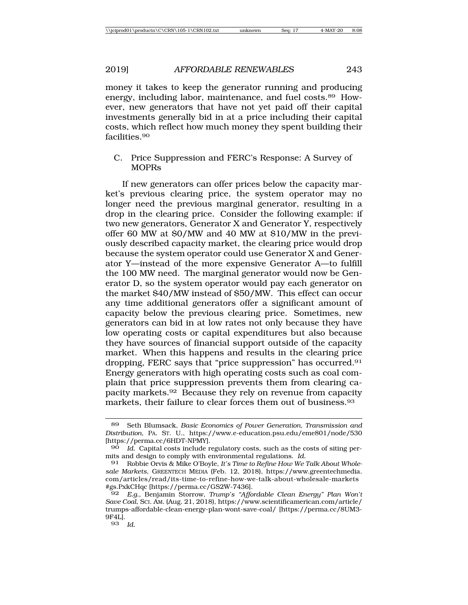money it takes to keep the generator running and producing energy, including labor, maintenance, and fuel costs.89 However, new generators that have not yet paid off their capital investments generally bid in at a price including their capital costs, which reflect how much money they spent building their facilities.90

C. Price Suppression and FERC's Response: A Survey of MOPRs

If new generators can offer prices below the capacity market's previous clearing price, the system operator may no longer need the previous marginal generator, resulting in a drop in the clearing price. Consider the following example: if two new generators, Generator X and Generator Y, respectively offer 60 MW at \$0/MW and 40 MW at \$10/MW in the previously described capacity market, the clearing price would drop because the system operator could use Generator X and Generator Y—instead of the more expensive Generator A—to fulfill the 100 MW need. The marginal generator would now be Generator D, so the system operator would pay each generator on the market \$40/MW instead of \$50/MW. This effect can occur any time additional generators offer a significant amount of capacity below the previous clearing price. Sometimes, new generators can bid in at low rates not only because they have low operating costs or capital expenditures but also because they have sources of financial support outside of the capacity market. When this happens and results in the clearing price dropping, FERC says that "price suppression" has occurred.91 Energy generators with high operating costs such as coal complain that price suppression prevents them from clearing capacity markets.92 Because they rely on revenue from capacity markets, their failure to clear forces them out of business.<sup>93</sup>

<sup>89</sup> Seth Blumsack, *Basic Economics of Power Generation, Transmission and Distribution*, PA. ST. U., https://www.e-education.psu.edu/eme801/node/530 [https://perma.cc/6HDT-NPMY].

<sup>90</sup> *Id.* Capital costs include regulatory costs, such as the costs of siting permits and design to comply with environmental regulations. *Id.*

<sup>91</sup> Robbie Orvis & Mike O'Boyle, *It's Time to Refine How We Talk About Wholesale Markets*, GREENTECH MEDIA (Feb. 12, 2018), https://www.greentechmedia. com/articles/read/its-time-to-refine-how-we-talk-about-wholesale-markets #gs.PxkCHqc [https://perma.cc/GS2W-7436].

<sup>92</sup> *E.g.*, Benjamin Storrow, *Trump's "Affordable Clean Energy" Plan Won't Save Coal*, SCI. AM. (Aug. 21, 2018), https://www.scientificamerican.com/article/ trumps-affordable-clean-energy-plan-wont-save-coal/ [https://perma.cc/8UM3- 9F4L].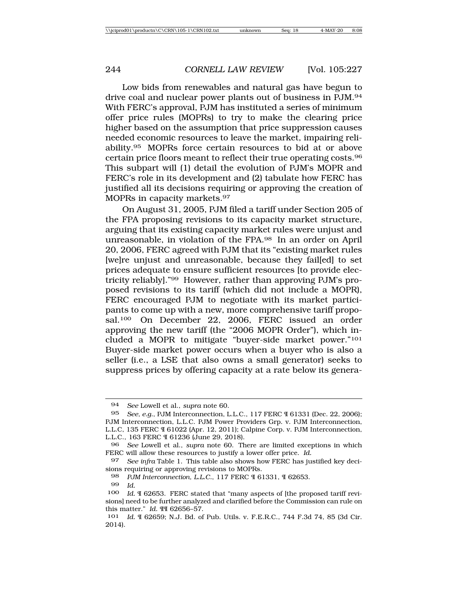Low bids from renewables and natural gas have begun to drive coal and nuclear power plants out of business in PJM.94 With FERC's approval, PJM has instituted a series of minimum offer price rules (MOPRs) to try to make the clearing price higher based on the assumption that price suppression causes needed economic resources to leave the market, impairing reliability.95 MOPRs force certain resources to bid at or above certain price floors meant to reflect their true operating costs.96 This subpart will (1) detail the evolution of PJM's MOPR and FERC's role in its development and (2) tabulate how FERC has justified all its decisions requiring or approving the creation of MOPRs in capacity markets.97

On August 31, 2005, PJM filed a tariff under Section 205 of the FPA proposing revisions to its capacity market structure, arguing that its existing capacity market rules were unjust and unreasonable, in violation of the FPA.98 In an order on April 20, 2006, FERC agreed with PJM that its "existing market rules [we]re unjust and unreasonable, because they fail[ed] to set prices adequate to ensure sufficient resources [to provide electricity reliably]."99 However, rather than approving PJM's proposed revisions to its tariff (which did not include a MOPR), FERC encouraged PJM to negotiate with its market participants to come up with a new, more comprehensive tariff proposal.100 On December 22, 2006, FERC issued an order approving the new tariff (the "2006 MOPR Order"), which included a MOPR to mitigate "buyer-side market power."101 Buyer-side market power occurs when a buyer who is also a seller (i.e., a LSE that also owns a small generator) seeks to suppress prices by offering capacity at a rate below its genera-

<sup>94</sup> *See* Lowell et al., *supra* note 60.

<sup>95</sup> *See, e.g.*, PJM Interconnection, L.L.C., 117 FERC ¶ 61331 (Dec. 22, 2006); PJM Interconnection, L.L.C. PJM Power Providers Grp. v. PJM Interconnection, L.L.C, 135 FERC ¶ 61022 (Apr. 12, 2011); Calpine Corp. v. PJM Interconnection, L.L.C., 163 FERC ¶ 61236 (June 29, 2018).

<sup>96</sup> *See* Lowell et al., *supra* note 60. There are limited exceptions in which FERC will allow these resources to justify a lower offer price. *Id.*

<sup>97</sup> *See infra* Table 1. This table also shows how FERC has justified key decisions requiring or approving revisions to MOPRs.

<sup>98</sup> *PJM Interconnection, L.L.C.*, 117 FERC ¶ 61331, ¶ 62653.

<sup>99</sup> *Id.*

<sup>100</sup> *Id.* ¶ 62653. FERC stated that "many aspects of [the proposed tariff revisions] need to be further analyzed and clarified before the Commission can rule on this matter." *Id.* ¶¶ 62656–57.

<sup>101</sup> *Id.* ¶ 62659; N.J. Bd. of Pub. Utils. v. F.E.R.C., 744 F.3d 74, 85 (3d Cir. 2014).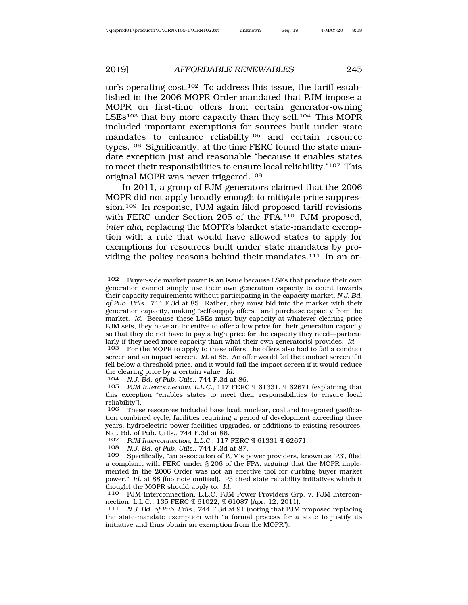tor's operating  $cost<sub>102</sub>$  To address this issue, the tariff established in the 2006 MOPR Order mandated that PJM impose a MOPR on first-time offers from certain generator-owning LSEs<sup>103</sup> that buy more capacity than they sell.<sup>104</sup> This MOPR included important exemptions for sources built under state mandates to enhance reliability<sup>105</sup> and certain resource types.106 Significantly, at the time FERC found the state mandate exception just and reasonable "because it enables states to meet their responsibilities to ensure local reliability."107 This original MOPR was never triggered.108

In 2011, a group of PJM generators claimed that the 2006 MOPR did not apply broadly enough to mitigate price suppression.<sup>109</sup> In response, PJM again filed proposed tariff revisions with FERC under Section 205 of the FPA.110 PJM proposed, *inter alia*, replacing the MOPR's blanket state-mandate exemption with a rule that would have allowed states to apply for exemptions for resources built under state mandates by providing the policy reasons behind their mandates.<sup>111</sup> In an or-

<sup>102</sup> Buyer-side market power is an issue because LSEs that produce their own generation cannot simply use their own generation capacity to count towards their capacity requirements without participating in the capacity market. *N.J. Bd. of Pub. Utils.*, 744 F.3d at 85. Rather, they must bid into the market with their generation capacity, making "self-supply offers," and purchase capacity from the market. *Id.* Because these LSEs must buy capacity at whatever clearing price PJM sets, they have an incentive to offer a low price for their generation capacity so that they do not have to pay a high price for the capacity they need—particularly if they need more capacity than what their own generator(s) provides. *Id.*

<sup>103</sup> For the MOPR to apply to these offers, the offers also had to fail a conduct screen and an impact screen. *Id.* at 85. An offer would fail the conduct screen if it fell below a threshold price, and it would fail the impact screen if it would reduce the clearing price by a certain value. *Id.*

<sup>104</sup> *N.J. Bd. of Pub. Utils.*, 744 F.3d at 86.

<sup>105</sup> *PJM Interconnection, L.L.C.*, 117 FERC ¶ 61331, ¶ 62671 (explaining that this exception "enables states to meet their responsibilities to ensure local reliability").<br>106 These

These resources included base load, nuclear, coal and integrated gasification combined cycle, facilities requiring a period of development exceeding three years, hydroelectric power facilities upgrades, or additions to existing resources. Nat. Bd. of Pub. Utils., 744 F.3d at 86.

<sup>107</sup> *PJM Interconnection, L.L.C.*, 117 FERC ¶ 61331 ¶ 62671.

<sup>108</sup> *N.J. Bd. of Pub. Utils.*, 744 F.3d at 87.

<sup>109</sup> Specifically, "an association of PJM's power providers, known as 'P3', filed a complaint with FERC under § 206 of the FPA, arguing that the MOPR implemented in the 2006 Order was not an effective tool for curbing buyer market power." *Id.* at 88 (footnote omitted). P3 cited state reliability initiatives which it thought the MOPR should apply to. *Id.*

<sup>110</sup> PJM Interconnection, L.L.C. PJM Power Providers Grp. v. PJM Interconnection, L.L.C., 135 FERC ¶ 61022, ¶ 61087 (Apr. 12, 2011).

<sup>111</sup> *N.J. Bd. of Pub. Utils.*, 744 F.3d at 91 (noting that PJM proposed replacing the state-mandate exemption with "a formal process for a state to justify its initiative and thus obtain an exemption from the MOPR").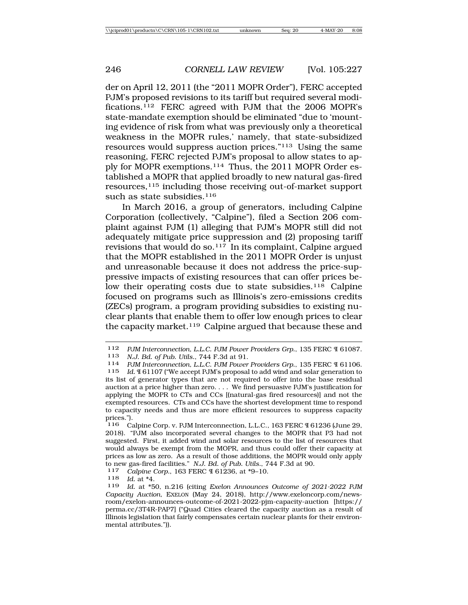der on April 12, 2011 (the "2011 MOPR Order"), FERC accepted PJM's proposed revisions to its tariff but required several modifications.112 FERC agreed with PJM that the 2006 MOPR's state-mandate exemption should be eliminated "due to 'mounting evidence of risk from what was previously only a theoretical weakness in the MOPR rules,' namely, that state-subsidized resources would suppress auction prices."113 Using the same reasoning, FERC rejected PJM's proposal to allow states to apply for MOPR exemptions.114 Thus, the 2011 MOPR Order established a MOPR that applied broadly to new natural gas-fired resources,115 including those receiving out-of-market support such as state subsidies. $116$ 

In March 2016, a group of generators, including Calpine Corporation (collectively, "Calpine"), filed a Section 206 complaint against PJM (1) alleging that PJM's MOPR still did not adequately mitigate price suppression and (2) proposing tariff revisions that would do so. $117$  In its complaint, Calpine argued that the MOPR established in the 2011 MOPR Order is unjust and unreasonable because it does not address the price-suppressive impacts of existing resources that can offer prices below their operating costs due to state subsidies.<sup>118</sup> Calpine focused on programs such as Illinois's zero-emissions credits (ZECs) program, a program providing subsidies to existing nuclear plants that enable them to offer low enough prices to clear the capacity market.<sup>119</sup> Calpine argued that because these and

<sup>112</sup> *PJM Interconnection, L.L.C. PJM Power Providers Grp.*, 135 FERC ¶ 61087.

<sup>114</sup> *PJM Interconnection, L.L.C. PJM Power Providers Grp.*, 135 FERC ¶ 61106.

<sup>115</sup> *Id.* ¶ 61107 ("We accept PJM's proposal to add wind and solar generation to its list of generator types that are not required to offer into the base residual auction at a price higher than zero. . . . We find persuasive PJM's justification for applying the MOPR to CTs and CCs [(natural-gas fired resources)] and not the exempted resources. CTs and CCs have the shortest development time to respond to capacity needs and thus are more efficient resources to suppress capacity prices.").

<sup>116</sup> Calpine Corp. v. PJM Interconnection, L.L.C., 163 FERC ¶ 61236 (June 29, 2018). "PJM also incorporated several changes to the MOPR that P3 had not suggested. First, it added wind and solar resources to the list of resources that would always be exempt from the MOPR, and thus could offer their capacity at prices as low as zero. As a result of those additions, the MOPR would only apply to new gas-fired facilities." *N.J. Bd. of Pub. Utils.*, 744 F.3d at 90.<br><sup>117</sup> *Calpine Corp.*, 163 FERC ¶ 61236, at \*9–10.<br><sup>118</sup> *Id* at \*4

<sup>118</sup> *Id.* at \*4.

Id. at \*50, n.216 (citing *Exelon Announces Outcome of 2021-2022 PJM Capacity Auction*, EXELON (May 24, 2018), http://www.exeloncorp.com/newsroom/exelon-announces-outcome-of-2021-2022-pjm-capacity-auction [https:// perma.cc/3T4R-PAP7] ("Quad Cities cleared the capacity auction as a result of Illinois legislation that fairly compensates certain nuclear plants for their environmental attributes.")).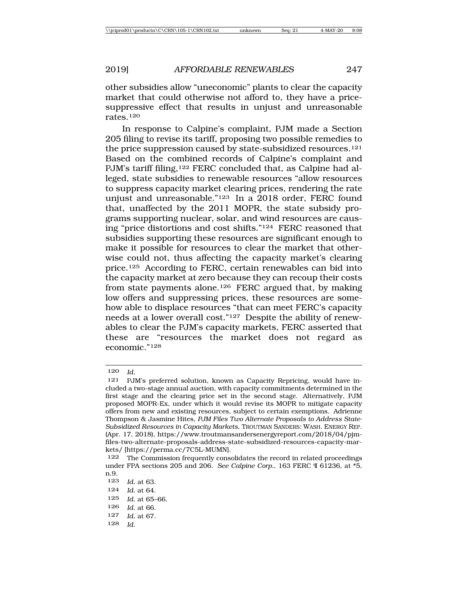other subsidies allow "uneconomic" plants to clear the capacity market that could otherwise not afford to, they have a pricesuppressive effect that results in unjust and unreasonable rates.120

In response to Calpine's complaint, PJM made a Section 205 filing to revise its tariff, proposing two possible remedies to the price suppression caused by state-subsidized resources.<sup>121</sup> Based on the combined records of Calpine's complaint and PJM's tariff filing,<sup>122</sup> FERC concluded that, as Calpine had alleged, state subsidies to renewable resources "allow resources to suppress capacity market clearing prices, rendering the rate unjust and unreasonable."123 In a 2018 order, FERC found that, unaffected by the 2011 MOPR, the state subsidy programs supporting nuclear, solar, and wind resources are causing "price distortions and cost shifts."124 FERC reasoned that subsidies supporting these resources are significant enough to make it possible for resources to clear the market that otherwise could not, thus affecting the capacity market's clearing price.125 According to FERC, certain renewables can bid into the capacity market at zero because they can recoup their costs from state payments alone.126 FERC argued that, by making low offers and suppressing prices, these resources are somehow able to displace resources "that can meet FERC's capacity needs at a lower overall cost."127 Despite the ability of renewables to clear the PJM's capacity markets, FERC asserted that these are "resources the market does not regard as economic."128

<sup>120</sup> *Id.*

<sup>121</sup> PJM's preferred solution, known as Capacity Repricing, would have included a two-stage annual auction, with capacity commitments determined in the first stage and the clearing price set in the second stage. Alternatively, PJM proposed MOPR-Ex, under which it would revise its MOPR to mitigate capacity offers from new and existing resources, subject to certain exemptions. Adrienne Thompson & Jasmine Hites, *PJM Files Two Alternate Proposals to Address State-Subsidized Resources in Capacity Markets*, TROUTMAN SANDERS: WASH. ENERGY REP. (Apr. 17, 2018), https://www.troutmansandersenergyreport.com/2018/04/pjmfiles-two-alternate-proposals-address-state-subsidized-resources-capacity-markets/ [https://perma.cc/7C5L-MUMN].

<sup>122</sup> The Commission frequently consolidates the record in related proceedings under FPA sections 205 and 206. *See Calpine Corp.*, 163 FERC ¶ 61236, at \*5, n.9.

<sup>123</sup> *Id.* at 63. 124 *Id.* at 64. 125 *Id.* at 65–66. 126 *Id.* at 66. 127 *Id.* at 67. 128 *Id.*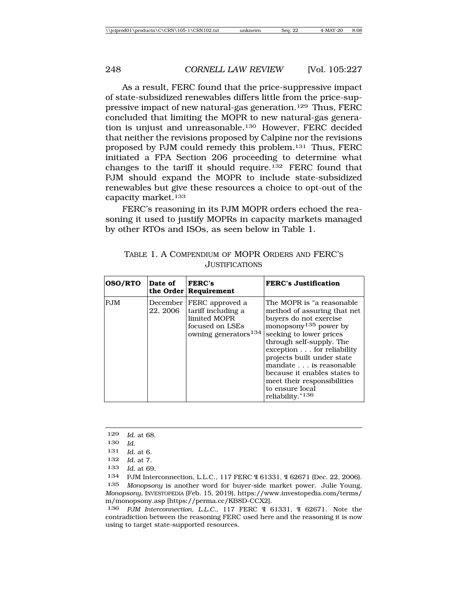As a result, FERC found that the price-suppressive impact of state-subsidized renewables differs little from the price-suppressive impact of new natural-gas generation.129 Thus, FERC concluded that limiting the MOPR to new natural-gas generation is unjust and unreasonable.<sup>130</sup> However, FERC decided that neither the revisions proposed by Calpine nor the revisions proposed by PJM could remedy this problem.131 Thus, FERC initiated a FPA Section 206 proceeding to determine what changes to the tariff it should require.132 FERC found that PJM should expand the MOPR to include state-subsidized renewables but give these resources a choice to opt-out of the capacity market.133

FERC's reasoning in its PJM MOPR orders echoed the reasoning it used to justify MOPRs in capacity markets managed by other RTOs and ISOs, as seen below in Table 1.

| <b>OSO/RTO</b> | Date of              | <b>FERC's</b><br>the Order Requirement                                                                       | <b>FERC's Justification</b>                                                                                                                                                                                                                                                                                                                                                           |
|----------------|----------------------|--------------------------------------------------------------------------------------------------------------|---------------------------------------------------------------------------------------------------------------------------------------------------------------------------------------------------------------------------------------------------------------------------------------------------------------------------------------------------------------------------------------|
| PJM            | December<br>22, 2006 | FERC approved a<br>tariff including a<br>limited MOPR<br>focused on LSEs<br>owning generators <sup>134</sup> | The MOPR is "a reasonable"<br>method of assuring that net<br>buyers do not exercise<br>monopsony <sup>135</sup> power by<br>seeking to lower prices<br>through self-supply. The<br>exception for reliability<br>projects built under state<br>mandate is reasonable<br>because it enables states to<br>meet their responsibilities<br>to ensure local<br>reliability." <sup>136</sup> |

TABLE 1. A COMPENDIUM OF MOPR ORDERS AND FERC'S **JUSTIFICATIONS** 

129 *Id.* at 68.

130 *Id*.

131 *Id.* at 6.

132 *Id.* at 7.

133 *Id.* at 69.

134 PJM Interconnection, L.L.C., 117 FERC ¶ 61331, ¶ 62671 (Dec. 22, 2006). 135 *Monopsony* is another word for buyer-side market power. Julie Young, *Monopsony*, INVESTOPEDIA (Feb. 15, 2019), https://www.investopedia.com/terms/ m/monopsony.asp [https://perma.cc/KB8D-CCX2].

136 *PJM Interconnection, L.L.C.*, 117 FERC ¶ 61331, ¶ 62671. Note the contradiction between the reasoning FERC used here and the reasoning it is now using to target state-supported resources.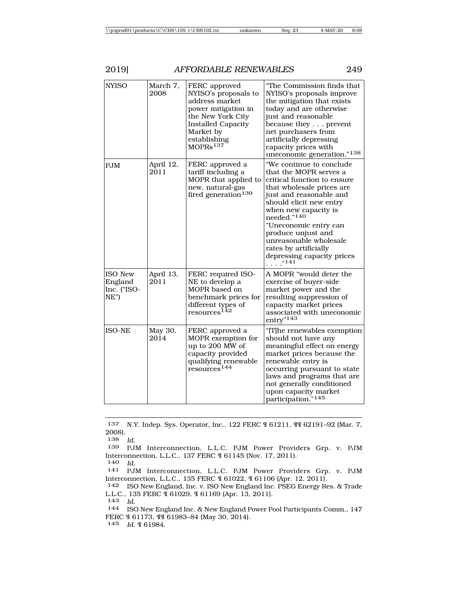| <b>NYISO</b>                                        | March 7,<br>2008  | FERC approved<br>NYISO's proposals to<br>address market<br>power mitigation in<br>the New York City<br><b>Installed Capacity</b><br>Market by<br>establishing<br>MOPRs <sup>137</sup> | "The Commission finds that<br>NYISO's proposals improve<br>the mitigation that exists<br>today and are otherwise<br>just and reasonable<br>because they prevent<br>net purchasers from<br>artificially depressing<br>capacity prices with<br>uneconomic generation."138                                                                                                        |
|-----------------------------------------------------|-------------------|---------------------------------------------------------------------------------------------------------------------------------------------------------------------------------------|--------------------------------------------------------------------------------------------------------------------------------------------------------------------------------------------------------------------------------------------------------------------------------------------------------------------------------------------------------------------------------|
| <b>PJM</b>                                          | April 12,<br>2011 | FERC approved a<br>tariff including a<br>MOPR that applied to<br>new, natural-gas<br>fired generation <sup>139</sup>                                                                  | "We continue to conclude<br>that the MOPR serves a<br>critical function to ensure<br>that wholesale prices are<br>just and reasonable and<br>should elicit new entry<br>when new capacity is<br>needed." <sup>140</sup><br>"Uneconomic entry can<br>produce unjust and<br>unreasonable wholesale<br>rates by artificially<br>depressing capacity prices<br>$\ldots$ . $^{141}$ |
| <b>ISO New</b><br>England<br>Inc. ("ISO-<br>$NE$ ") | April 13,<br>2011 | FERC required ISO-<br>NE to develop a<br>MOPR based on<br>benchmark prices for<br>different types of<br>resources <sup>142</sup>                                                      | A MOPR "would deter the<br>exercise of buyer-side<br>market power and the<br>resulting suppression of<br>capacity market prices<br>associated with uneconomic<br>entry" <sup>143</sup>                                                                                                                                                                                         |
| <b>ISO-NE</b>                                       | May 30,<br>2014   | FERC approved a<br>MOPR exemption for<br>up to 200 MW of<br>capacity provided<br>qualifying renewable<br>resources <sup>144</sup>                                                     | "[T]he renewables exemption<br>should not have any<br>meaningful effect on energy<br>market prices because the<br>renewable entry is<br>occurring pursuant to state<br>laws and programs that are<br>not generally conditioned<br>upon capacity market<br>participation." <sup>145</sup>                                                                                       |

137 N.Y. Indep. Sys. Operator, Inc., 122 FERC ¶ 61211, ¶¶ 62191–92 (Mar. 7, 2008).

138 *Id.*

139 PJM Interconnection, L.L.C. PJM Power Providers Grp. v. PJM Interconnection, L.L.C., 137 FERC ¶ 61145 (Nov. 17, 2011).<br>140 Id.

<sup>140</sup> *Id.* <sup>141</sup> PJM Interconnection, L.L.C. PJM Power Providers Grp. v. PJM Interconnection, L.L.C., 135 FERC ¶ 61022, ¶ 61106 (Apr. 12, 2011).

142 ISO New England, Inc. v. ISO New England Inc. PSEG Energy Res. & Trade L.L.C., 135 FERC ¶ 61029, ¶ 61169 (Apr. 13, 2011).<br>143 *Id*.

<sup>143</sup> *Id.* <sup>144</sup> ISO New England Inc. & New England Power Pool Participants Comm., 147 FERC ¶ 61173, ¶¶ 61983–84 (May 30, 2014).

145 *Id.* ¶ 61984.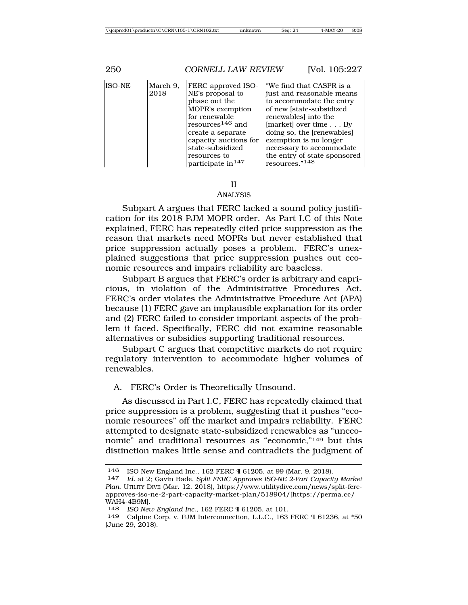| 250           |                  | <b>CORNELL LAW REVIEW</b>                                                                                                                                                                                                            | [Vol. 105:227                                                                                                                                                                                                                                                                                        |
|---------------|------------------|--------------------------------------------------------------------------------------------------------------------------------------------------------------------------------------------------------------------------------------|------------------------------------------------------------------------------------------------------------------------------------------------------------------------------------------------------------------------------------------------------------------------------------------------------|
| <b>ISO-NE</b> | March 9.<br>2018 | FERC approved ISO-<br>NE's proposal to<br>phase out the<br>MOPR's exemption<br>for renewable<br>resources <sup>146</sup> and<br>create a separate<br>capacity auctions for<br>state-subsidized<br>resources to<br>participate in 147 | "We find that CASPR is a<br>just and reasonable means<br>to accommodate the entry<br>of new [state-subsidized]<br>renewables into the<br>[market] over time By<br>doing so, the [renewables]<br>exemption is no longer<br>necessary to accommodate<br>the entry of state sponsored<br>resources."148 |

### II

#### ANALYSIS

Subpart A argues that FERC lacked a sound policy justification for its 2018 PJM MOPR order. As Part I.C of this Note explained, FERC has repeatedly cited price suppression as the reason that markets need MOPRs but never established that price suppression actually poses a problem. FERC's unexplained suggestions that price suppression pushes out economic resources and impairs reliability are baseless.

Subpart B argues that FERC's order is arbitrary and capricious, in violation of the Administrative Procedures Act. FERC's order violates the Administrative Procedure Act (APA) because (1) FERC gave an implausible explanation for its order and (2) FERC failed to consider important aspects of the problem it faced. Specifically, FERC did not examine reasonable alternatives or subsidies supporting traditional resources.

Subpart C argues that competitive markets do not require regulatory intervention to accommodate higher volumes of renewables.

A. FERC's Order is Theoretically Unsound.

As discussed in Part I.C, FERC has repeatedly claimed that price suppression is a problem, suggesting that it pushes "economic resources" off the market and impairs reliability. FERC attempted to designate state-subsidized renewables as "uneconomic" and traditional resources as "economic,"149 but this distinction makes little sense and contradicts the judgment of

<sup>146</sup> ISO New England Inc., 162 FERC ¶ 61205, at 99 (Mar. 9, 2018). <sup>147</sup> *Id.* at 2; Gavin Bade, *Split FERC Approves ISO-NE 2-Part Capacity Market*

*Plan*, UTILITY DIVE (Mar. 12, 2018), https://www.utilitydive.com/news/split-fercapproves-iso-ne-2-part-capacity-market-plan/518904/[https://perma.cc/ WAH4-4B9M].

<sup>148</sup> *ISO New England Inc.*, 162 FERC ¶ 61205, at 101.

<sup>149</sup> Calpine Corp. v. PJM Interconnection, L.L.C., 163 FERC ¶ 61236, at \*50 (June 29, 2018).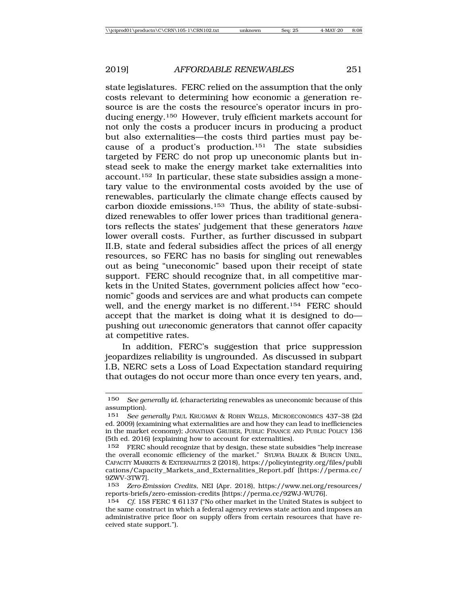state legislatures. FERC relied on the assumption that the only costs relevant to determining how economic a generation resource is are the costs the resource's operator incurs in producing energy.150 However, truly efficient markets account for not only the costs a producer incurs in producing a product but also externalities—the costs third parties must pay because of a product's production.<sup>151</sup> The state subsidies targeted by FERC do not prop up uneconomic plants but instead seek to make the energy market take externalities into account.152 In particular, these state subsidies assign a monetary value to the environmental costs avoided by the use of renewables, particularly the climate change effects caused by carbon dioxide emissions.153 Thus, the ability of state-subsidized renewables to offer lower prices than traditional generators reflects the states' judgement that these generators *have* lower overall costs. Further, as further discussed in subpart II.B, state and federal subsidies affect the prices of all energy resources, so FERC has no basis for singling out renewables out as being "uneconomic" based upon their receipt of state support. FERC should recognize that, in all competitive markets in the United States, government policies affect how "economic" goods and services are and what products can compete well, and the energy market is no different.<sup>154</sup> FERC should accept that the market is doing what it is designed to do pushing out *un*economic generators that cannot offer capacity at competitive rates.

In addition, FERC's suggestion that price suppression jeopardizes reliability is ungrounded. As discussed in subpart I.B, NERC sets a Loss of Load Expectation standard requiring that outages do not occur more than once every ten years, and,

<sup>150</sup> *See generally id.* (characterizing renewables as uneconomic because of this assumption).

<sup>151</sup> *See generally* PAUL KRUGMAN & ROBIN WELLS, MICROECONOMICS 437–38 (2d ed. 2009) (examining what externalities are and how they can lead to inefficiencies in the market economy); JONATHAN GRUBER, PUBLIC FINANCE AND PUBLIC POLICY 136 (5th ed. 2016) (explaining how to account for externalities).

<sup>152</sup> FERC should recognize that by design, these state subsidies "help increase the overall economic efficiency of the market." SYLWIA BIALEK & BURCIN UNEL, CAPACITY MARKETS & EXTERNALITIES 2 (2018), https://policyintegrity.org/files/publi cations/Capacity\_Markets\_and\_Externalities\_Report.pdf [https://perma.cc/ 9ZWV-3TW7].

<sup>153</sup> *Zero-Emission Credits*, NEI (Apr. 2018), https://www.nei.org/resources/ reports-briefs/zero-emission-credits [https://perma.cc/92WJ-WU76].

<sup>154</sup> *Cf*. 158 FERC ¶ 61137 ("No other market in the United States is subject to the same construct in which a federal agency reviews state action and imposes an administrative price floor on supply offers from certain resources that have received state support.").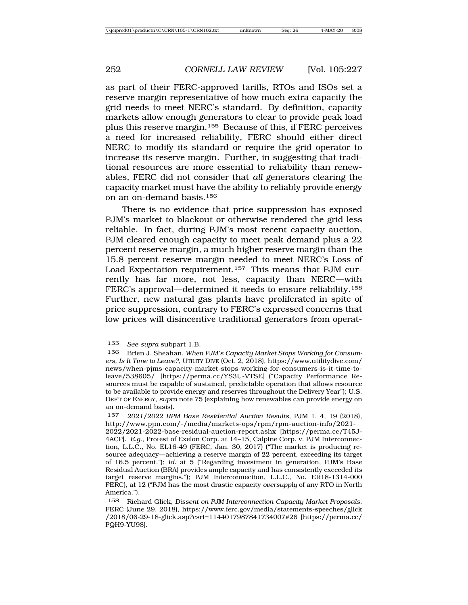as part of their FERC-approved tariffs, RTOs and ISOs set a reserve margin representative of how much extra capacity the grid needs to meet NERC's standard. By definition, capacity markets allow enough generators to clear to provide peak load plus this reserve margin.155 Because of this, if FERC perceives a need for increased reliability, FERC should either direct NERC to modify its standard or require the grid operator to increase its reserve margin. Further, in suggesting that traditional resources are more essential to reliability than renewables, FERC did not consider that *all* generators clearing the capacity market must have the ability to reliably provide energy on an on-demand basis.156

There is no evidence that price suppression has exposed PJM's market to blackout or otherwise rendered the grid less reliable. In fact, during PJM's most recent capacity auction, PJM cleared enough capacity to meet peak demand plus a 22 percent reserve margin, a much higher reserve margin than the 15.8 percent reserve margin needed to meet NERC's Loss of Load Expectation requirement.157 This means that PJM currently has far more, not less, capacity than NERC—with FERC's approval—determined it needs to ensure reliability.158 Further, new natural gas plants have proliferated in spite of price suppression, contrary to FERC's expressed concerns that low prices will disincentive traditional generators from operat-

<sup>155</sup> *See supra* subpart 1.B.

<sup>156</sup> Brien J. Sheahan, *When PJM's Capacity Market Stops Working for Consumers, Is It Time to Leave?*, UTILITY DIVE (Oct. 2, 2018), https://www.utilitydive.com/ news/when-pjms-capacity-market-stops-working-for-consumers-is-it-time-toleave/538605/ [https://perma.cc/YS3U-VTSE] ("Capacity Performance Resources must be capable of sustained, predictable operation that allows resource to be available to provide energy and reserves throughout the Delivery Year"); U.S. DEP'T OF ENERGY, *supra* note 75 (explaining how renewables can provide energy on an on-demand basis).

<sup>157</sup> *2021/2022 RPM Base Residential Auction Results*, PJM 1, 4, 19 (2018), http://www.pjm.com/-/media/markets-ops/rpm/rpm-auction-info/2021-

<sup>2022/2021-2022-</sup>base-residual-auction-report.ashx [https://perma.cc/T45J-4ACP]. *E.g*., Protest of Exelon Corp. at 14–15, Calpine Corp. v. PJM Interconnection, L.L.C., No. EL16-49 (FERC, Jan. 30, 2017) ("The market is producing resource adequacy—achieving a reserve margin of 22 percent, exceeding its target of 16.5 percent."); *Id.* at 5 ("Regarding investment in generation, PJM's Base Residual Auction (BRA) provides ample capacity and has consistently exceeded its target reserve margins."); PJM Interconnection, L.L.C., No. ER18-1314-000 FERC), at 12 ("PJM has the most drastic capacity *oversupply* of any RTO in North America.").

<sup>158</sup> Richard Glick, *Dissent on PJM Interconnection Capacity Market Proposals*, FERC (June 29, 2018), https://www.ferc.gov/media/statements-speeches/glick /2018/06-29-18-glick.asp?csrt=1144017987841734007#26 [https://perma.cc/ PQH9-YU98].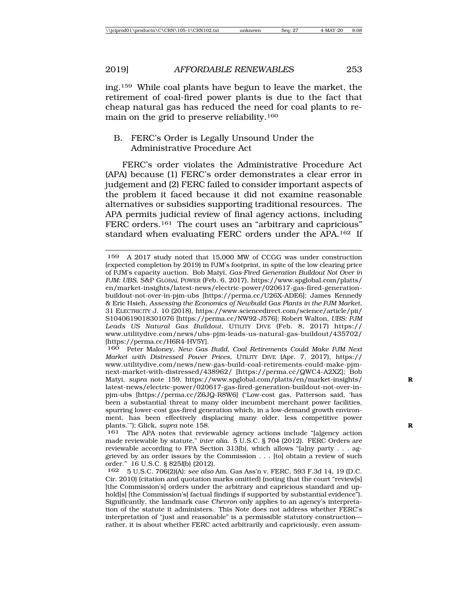ing.159 While coal plants have begun to leave the market, the retirement of coal-fired power plants is due to the fact that cheap natural gas has reduced the need for coal plants to remain on the grid to preserve reliability.160

### B. FERC's Order is Legally Unsound Under the Administrative Procedure Act

FERC's order violates the Administrative Procedure Act (APA) because (1) FERC's order demonstrates a clear error in judgement and (2) FERC failed to consider important aspects of the problem it faced because it did not examine reasonable alternatives or subsidies supporting traditional resources. The APA permits judicial review of final agency actions, including FERC orders.<sup>161</sup> The court uses an "arbitrary and capricious" standard when evaluating FERC orders under the APA.162 If

160 Peter Maloney, *New Gas Build, Coal Retirements Could Make PJM Next Market with Distressed Power Prices*, UTILITY DIVE (Apr. 7, 2017), https:// www.utilitydive.com/news/new-gas-build-coal-retirements-could-make-pjmnext-market-with-distressed/438962/ [https://perma.cc/QWC4-A2XZ]; Bob Matyi, *supra* note 159, https://www.spglobal.com/platts/en/market-insights/ **R** latest-news/electric-power/020617-gas-fired-generation-buildout-not-over-inpjm-ubs [https://perma.cc/Z6JQ-R8W6] ("Low-cost gas, Patterson said, 'has been a substantial threat to many older incumbent merchant power facilities, spurring lower-cost gas-fired generation which, in a low-demand growth environment, has been effectively displacing many older, less competitive power plants.'"); Glick, *supra* note 158.<br><sup>161</sup> The APA notes that revie

The APA notes that reviewable agency actions include "[a]gency action made reviewable by statute," *inter alia.* 5 U.S.C. § 704 (2012). FERC Orders are reviewable according to FPA Section 313(b), which allows "[a]ny party . . . aggrieved by an order issues by the Commission . . . [to] obtain a review of such order." 16 U.S.C. § 825*l*(b) (2012).

162 5 U.S.C. 706(2)(A); *see also* Am. Gas Ass'n v. FERC, 593 F.3d 14, 19 (D.C. Cir. 2010) (citation and quotation marks omitted) (noting that the court "review[s] [the Commission's] orders under the arbitrary and capricious standard and uphold[s] [the Commission's] factual findings if supported by substantial evidence"). Significantly, the landmark case *Chevron* only applies to an agency's interpretation of the statute it administers. This Note does not address whether FERC's interpretation of "just and reasonable" is a permissible statutory construction rather, it is about whether FERC acted arbitrarily and capriciously, even assum-

<sup>159</sup> A 2017 study noted that 15,000 MW of CCGG was under construction (expected completion by 2019) in PJM's footprint, in spite of the low clearing price of PJM's capacity auction. Bob Matyi, *Gas-Fired Generation Buildout Not Over in PJM: UBS*, S&P GLOBAL POWER (Feb. 6, 2017), https://www.spglobal.com/platts/ en/market-insights/latest-news/electric-power/020617-gas-fired-generationbuildout-not-over-in-pjm-ubs [https://perma.cc/U26X-ADE6]; James Kennedy & Eric Hsieh, *Assessing the Economics of Newbuild Gas Plants in the PJM Market*, 31 ELECTRICITY J. 10 (2018), https://www.sciencedirect.com/science/article/pii/ S1040619018301076 [https://perma.cc/NW92-J576]; Robert Walton, *UBS: PJM Leads US Natural Gas Buildout*, UTILITY DIVE (Feb. 8, 2017) https:// www.utilitydive.com/news/ubs-pjm-leads-us-natural-gas-buildout/435702/ [https://perma.cc/H6R4-HV5Y].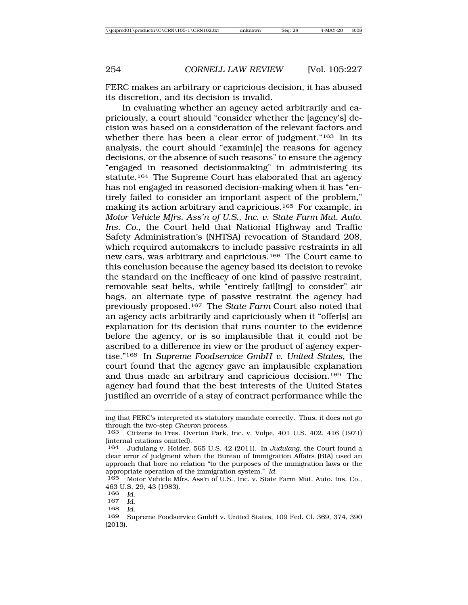FERC makes an arbitrary or capricious decision, it has abused its discretion, and its decision is invalid.

In evaluating whether an agency acted arbitrarily and capriciously, a court should "consider whether the [agency's] decision was based on a consideration of the relevant factors and whether there has been a clear error of judgment."<sup>163</sup> In its analysis, the court should "examin[e] the reasons for agency decisions, or the absence of such reasons" to ensure the agency "engaged in reasoned decisionmaking" in administering its statute.164 The Supreme Court has elaborated that an agency has not engaged in reasoned decision-making when it has "entirely failed to consider an important aspect of the problem," making its action arbitrary and capricious.165 For example, in *Motor Vehicle Mfrs. Ass'n of U.S., Inc. v. State Farm Mut. Auto. Ins. Co.*, the Court held that National Highway and Traffic Safety Administration's (NHTSA) revocation of Standard 208, which required automakers to include passive restraints in all new cars, was arbitrary and capricious.166 The Court came to this conclusion because the agency based its decision to revoke the standard on the inefficacy of one kind of passive restraint, removable seat belts, while "entirely fail[ing] to consider" air bags, an alternate type of passive restraint the agency had previously proposed.167 The *State Farm* Court also noted that an agency acts arbitrarily and capriciously when it "offer[s] an explanation for its decision that runs counter to the evidence before the agency, or is so implausible that it could not be ascribed to a difference in view or the product of agency expertise."168 In *Supreme Foodservice GmbH v. United States*, the court found that the agency gave an implausible explanation and thus made an arbitrary and capricious decision.169 The agency had found that the best interests of the United States justified an override of a stay of contract performance while the

ing that FERC's interpreted its statutory mandate correctly. Thus, it does not go through the two-step *Chevron* process.

<sup>163</sup> Citizens to Pres. Overton Park, Inc. v. Volpe, 401 U.S. 402, 416 (1971) (internal citations omitted).

<sup>164</sup> Judulang v. Holder, 565 U.S. 42 (2011). In *Judulang*, the Court found a clear error of judgment when the Bureau of Immigration Affairs (BIA) used an approach that bore no relation "to the purposes of the immigration laws or the appropriate operation of the immigration system." *Id*. <sup>165</sup> Motor Vehicle Mfrs. Ass'n of U.S., Inc. v. State Farm Mut. Auto. Ins. Co.,

<sup>463</sup> U.S. 29, 43 (1983).

<sup>166</sup> *Id*. <sup>167</sup> *Id*. <sup>168</sup> *Id*. <sup>169</sup> Supreme Foodservice GmbH v. United States, 109 Fed. Cl. 369, 374, 390 (2013).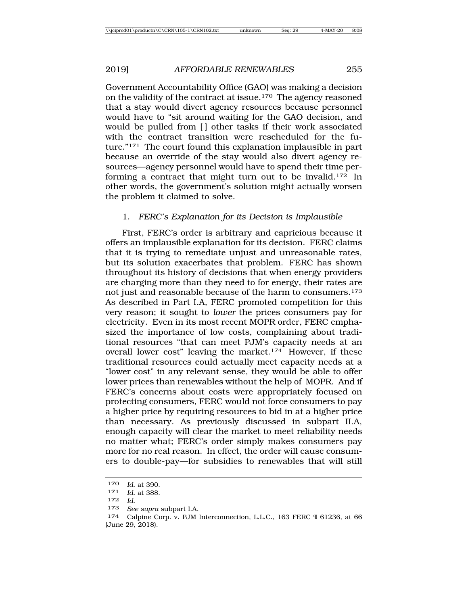Government Accountability Office (GAO) was making a decision on the validity of the contract at issue.170 The agency reasoned that a stay would divert agency resources because personnel would have to "sit around waiting for the GAO decision, and would be pulled from [] other tasks if their work associated with the contract transition were rescheduled for the future."171 The court found this explanation implausible in part because an override of the stay would also divert agency resources—agency personnel would have to spend their time performing a contract that might turn out to be invalid.172 In other words, the government's solution might actually worsen the problem it claimed to solve.

## 1. *FERC's Explanation for its Decision is Implausible*

First, FERC's order is arbitrary and capricious because it offers an implausible explanation for its decision. FERC claims that it is trying to remediate unjust and unreasonable rates, but its solution exacerbates that problem. FERC has shown throughout its history of decisions that when energy providers are charging more than they need to for energy, their rates are not just and reasonable because of the harm to consumers.173 As described in Part I.A, FERC promoted competition for this very reason; it sought to *lower* the prices consumers pay for electricity. Even in its most recent MOPR order, FERC emphasized the importance of low costs, complaining about traditional resources "that can meet PJM's capacity needs at an overall lower cost" leaving the market.<sup>174</sup> However, if these traditional resources could actually meet capacity needs at a "lower cost" in any relevant sense, they would be able to offer lower prices than renewables without the help of MOPR. And if FERC's concerns about costs were appropriately focused on protecting consumers, FERC would not force consumers to pay a higher price by requiring resources to bid in at a higher price than necessary. As previously discussed in subpart II.A, enough capacity will clear the market to meet reliability needs no matter what; FERC's order simply makes consumers pay more for no real reason. In effect, the order will cause consumers to double-pay—for subsidies to renewables that will still

<sup>170</sup> *Id*. at 390.

<sup>171</sup> *Id*. at 388.

<sup>172</sup> *Id*.

<sup>173</sup> *See supra* subpart I.A*.*

<sup>174</sup> Calpine Corp. v. PJM Interconnection, L.L.C., 163 FERC ¶ 61236, at 66 (June 29, 2018).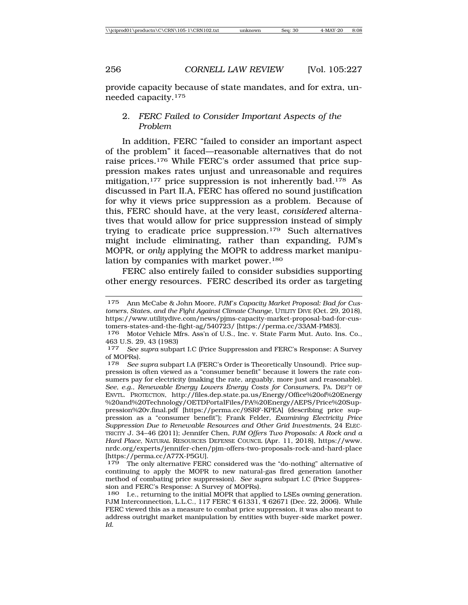provide capacity because of state mandates, and for extra, unneeded capacity.175

### 2. *FERC Failed to Consider Important Aspects of the Problem*

In addition, FERC "failed to consider an important aspect of the problem" it faced—reasonable alternatives that do not raise prices.176 While FERC's order assumed that price suppression makes rates unjust and unreasonable and requires mitigation,<sup>177</sup> price suppression is not inherently bad.<sup>178</sup> As discussed in Part II.A, FERC has offered no sound justification for why it views price suppression as a problem. Because of this, FERC should have, at the very least, *considered* alternatives that would allow for price suppression instead of simply trying to eradicate price suppression.179 Such alternatives might include eliminating, rather than expanding, PJM's MOPR, or *only* applying the MOPR to address market manipulation by companies with market power.<sup>180</sup>

FERC also entirely failed to consider subsidies supporting other energy resources. FERC described its order as targeting

<sup>175</sup> Ann McCabe & John Moore, *PJM's Capacity Market Proposal: Bad for Customers, States, and the Fight Against Climate Change*, UTILITY DIVE (Oct. 29, 2018), https://www.utilitydive.com/news/pjms-capacity-market-proposal-bad-for-customers-states-and-the-fight-ag/540723/ [https://perma.cc/33AM-PM83].

<sup>176</sup> Motor Vehicle Mfrs. Ass'n of U.S., Inc. v. State Farm Mut. Auto. Ins. Co., 463 U.S. 29, 43 (1983)

<sup>177</sup> *See supra* subpart I.C (Price Suppression and FERC's Response: A Survey of MOPRs).<br> $178$  See:

See supra subpart I.A (FERC's Order is Theoretically Unsound). Price suppression is often viewed as a "consumer benefit" because it lowers the rate consumers pay for electricity (making the rate, arguably, more just and reasonable). *See, e.g.*, *Renewable Energy Lowers Energy Costs for Consumers*, PA. DEP'T OF ENVTL. PROTECTION, http://files.dep.state.pa.us/Energy/Office%20of%20Energy %20and%20Technology/OETDPortalFiles/PA%20Energy/AEPS/Price%20Suppression%20v.final.pdf [https://perma.cc/9SRF-KPEA] (describing price suppression as a "consumer benefit"); Frank Felder, *Examining Electricity Price Suppression Due to Renewable Resources and Other Grid Investments*, 24 ELEC-TRICITY J. 34–46 (2011); Jennifer Chen, *PJM Offers Two Proposals: A Rock and a Hard Place*, NATURAL RESOURCES DEFENSE COUNCIL (Apr. 11, 2018), https://www. nrdc.org/experts/jennifer-chen/pjm-offers-two-proposals-rock-and-hard-place [https://perma.cc/A77X-P5GU].

<sup>&</sup>lt;sup>179</sup> The only alternative FERC considered was the "do-nothing" alternative of continuing to apply the MOPR to new natural-gas fired generation (another method of combating price suppression). *See supra* subpart I.C (Price Suppression and FERC's Response: A Survey of MOPRs).

<sup>180</sup> I.e., returning to the initial MOPR that applied to LSEs owning generation. PJM Interconnection, L.L.C., 117 FERC ¶ 61331, ¶ 62671 (Dec. 22, 2006). While FERC viewed this as a measure to combat price suppression, it was also meant to address outright market manipulation by entities with buyer-side market power. *Id*.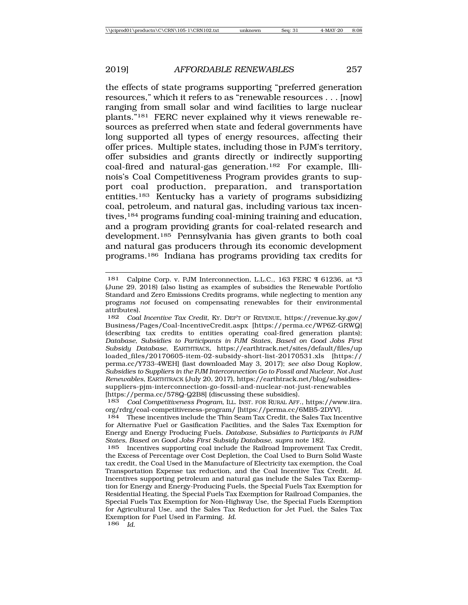the effects of state programs supporting "preferred generation resources," which it refers to as "renewable resources . . . [now] ranging from small solar and wind facilities to large nuclear plants."181 FERC never explained why it views renewable resources as preferred when state and federal governments have long supported all types of energy resources, affecting their offer prices. Multiple states, including those in PJM's territory, offer subsidies and grants directly or indirectly supporting coal-fired and natural-gas generation.182 For example, Illinois's Coal Competitiveness Program provides grants to support coal production, preparation, and transportation entities.183 Kentucky has a variety of programs subsidizing coal, petroleum, and natural gas, including various tax incentives,<sup>184</sup> programs funding coal-mining training and education, and a program providing grants for coal-related research and development.185 Pennsylvania has given grants to both coal and natural gas producers through its economic development programs.186 Indiana has programs providing tax credits for

<sup>181</sup> Calpine Corp. v. PJM Interconnection, L.L.C., 163 FERC ¶ 61236, at \*3 (June 29, 2018) (also listing as examples of subsidies the Renewable Portfolio Standard and Zero Emissions Credits programs, while neglecting to mention any programs *not* focused on compensating renewables for their environmental attributes).<br> $182$  Coal

<sup>182</sup> *Coal Incentive Tax Credit*, KY. DEP'T OF REVENUE, https://revenue.ky.gov/ Business/Pages/Coal-IncentiveCredit.aspx [https://perma.cc/WP6Z-GRWQ] (describing tax credits to entities operating coal-fired generation plants); *Database, Subsidies to Participants in PJM States, Based on Good Jobs First Subsidy Database*, EARTHTRACK, https://earthtrack.net/sites/default/files/up loaded\_files/20170605-item-02-subsidy-short-list-20170531.xls [https:// perma.cc/Y733-4WEH] (last downloaded May 3, 2017); *see also* Doug Koplow, *Subsidies to Suppliers in the PJM Interconnection Go to Fossil and Nuclear, Not Just Renewables*, EARTHTRACK (July 20, 2017), https://earthtrack.net/blog/subsidiessuppliers-pjm-interconnection-go-fossil-and-nuclear-not-just-renewables [https://perma.cc/578Q-Q2B8] (discussing these subsidies).

<sup>183</sup> *Coal Competitiveness Program*, ILL. INST. FOR RURAL AFF., https://www.iira. org/rdrg/coal-competitiveness-program/ [https://perma.cc/6MB5-2DYV].

<sup>184</sup> These incentives include the Thin Seam Tax Credit, the Sales Tax Incentive for Alternative Fuel or Gasification Facilities, and the Sales Tax Exemption for Energy and Energy Producing Fuels. *Database, Subsidies to Participants in PJM States, Based on Good Jobs First Subsidy Database*, *supra* note 182.

<sup>185</sup> Incentives supporting coal include the Railroad Improvement Tax Credit, the Excess of Percentage over Cost Depletion, the Coal Used to Burn Solid Waste tax credit, the Coal Used in the Manufacture of Electricity tax exemption, the Coal Transportation Expense tax reduction, and the Coal Incentive Tax Credit. *Id*. Incentives supporting petroleum and natural gas include the Sales Tax Exemption for Energy and Energy-Producing Fuels, the Special Fuels Tax Exemption for Residential Heating, the Special Fuels Tax Exemption for Railroad Companies, the Special Fuels Tax Exemption for Non-Highway Use, the Special Fuels Exemption for Agricultural Use, and the Sales Tax Reduction for Jet Fuel, the Sales Tax Exemption for Fuel Used in Farming. *Id*. <sup>186</sup> *Id*.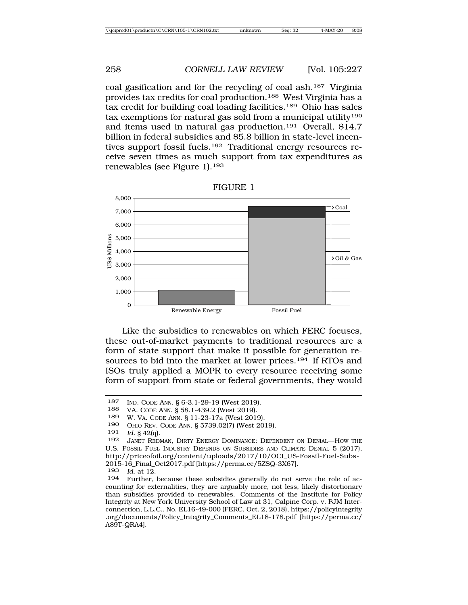coal gasification and for the recycling of coal ash.187 Virginia provides tax credits for coal production.188 West Virginia has a tax credit for building coal loading facilities.189 Ohio has sales tax exemptions for natural gas sold from a municipal utility<sup>190</sup> and items used in natural gas production.191 Overall, \$14.7 billion in federal subsidies and \$5.8 billion in state-level incentives support fossil fuels.192 Traditional energy resources receive seven times as much support from tax expenditures as renewables (see Figure 1).193



FIGURE 1

Like the subsidies to renewables on which FERC focuses, these out-of-market payments to traditional resources are a form of state support that make it possible for generation resources to bid into the market at lower prices.194 If RTOs and ISOs truly applied a MOPR to every resource receiving some form of support from state or federal governments, they would

*Id.* § 42(q).

<sup>187</sup> IND. CODE ANN. § 6-3.1-29-19 (West 2019).

VA. CODE ANN. § 58.1-439.2 (West 2019).

<sup>189</sup> W. VA. CODE ANN. § 11-23-17a (West 2019).

<sup>190</sup> OHIO REV. CODE ANN.  $\S 5739.02(7)$  (West 2019).<br>191 Id  $\S 42(a)$ 

<sup>192</sup> JANET REDMAN, DIRTY ENERGY DOMINANCE: DEPENDENT ON DENIAL—HOW THE U.S. FOSSIL FUEL INDUSTRY DEPENDS ON SUBSIDIES AND CLIMATE DENIAL 5 (2017), http://priceofoil.org/content/uploads/2017/10/OCI\_US-Fossil-Fuel-Subs-2015-16\_Final\_Oct2017.pdf [https://perma.cc/5ZSQ-3X67].

<sup>193</sup> *Id.* at 12.

Further, because these subsidies generally do not serve the role of accounting for externalities, they are arguably more, not less, likely distortionary than subsidies provided to renewables. Comments of the Institute for Policy Integrity at New York University School of Law at 31, Calpine Corp. v. PJM Interconnection, L.L.C., No. EL16-49-000 (FERC, Oct. 2, 2018), https://policyintegrity .org/documents/Policy\_Integrity\_Comments\_EL18-178.pdf [https://perma.cc/ A89T-QRA4].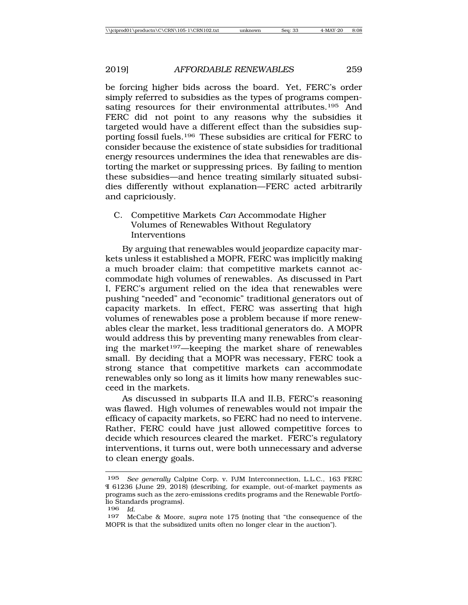be forcing higher bids across the board. Yet, FERC's order simply referred to subsidies as the types of programs compensating resources for their environmental attributes.195 And FERC did not point to any reasons why the subsidies it targeted would have a different effect than the subsidies supporting fossil fuels.196 These subsidies are critical for FERC to consider because the existence of state subsidies for traditional energy resources undermines the idea that renewables are distorting the market or suppressing prices. By failing to mention these subsidies—and hence treating similarly situated subsidies differently without explanation—FERC acted arbitrarily and capriciously.

C. Competitive Markets *Can* Accommodate Higher Volumes of Renewables Without Regulatory **Interventions** 

By arguing that renewables would jeopardize capacity markets unless it established a MOPR, FERC was implicitly making a much broader claim: that competitive markets cannot accommodate high volumes of renewables. As discussed in Part I, FERC's argument relied on the idea that renewables were pushing "needed" and "economic" traditional generators out of capacity markets. In effect, FERC was asserting that high volumes of renewables pose a problem because if more renewables clear the market, less traditional generators do. A MOPR would address this by preventing many renewables from clearing the market197—keeping the market share of renewables small. By deciding that a MOPR was necessary, FERC took a strong stance that competitive markets can accommodate renewables only so long as it limits how many renewables succeed in the markets.

As discussed in subparts II.A and II.B, FERC's reasoning was flawed. High volumes of renewables would not impair the efficacy of capacity markets, so FERC had no need to intervene. Rather, FERC could have just allowed competitive forces to decide which resources cleared the market. FERC's regulatory interventions, it turns out, were both unnecessary and adverse to clean energy goals.

<sup>195</sup> *See generally* Calpine Corp. v. PJM Interconnection, L.L.C., 163 FERC ¶ 61236 (June 29, 2018) (describing, for example, out-of-market payments as programs such as the zero-emissions credits programs and the Renewable Portfolio Standards programs).

<sup>196</sup> *Id*. <sup>197</sup> McCabe & Moore, *supra* note 175 (noting that "the consequence of the MOPR is that the subsidized units often no longer clear in the auction").